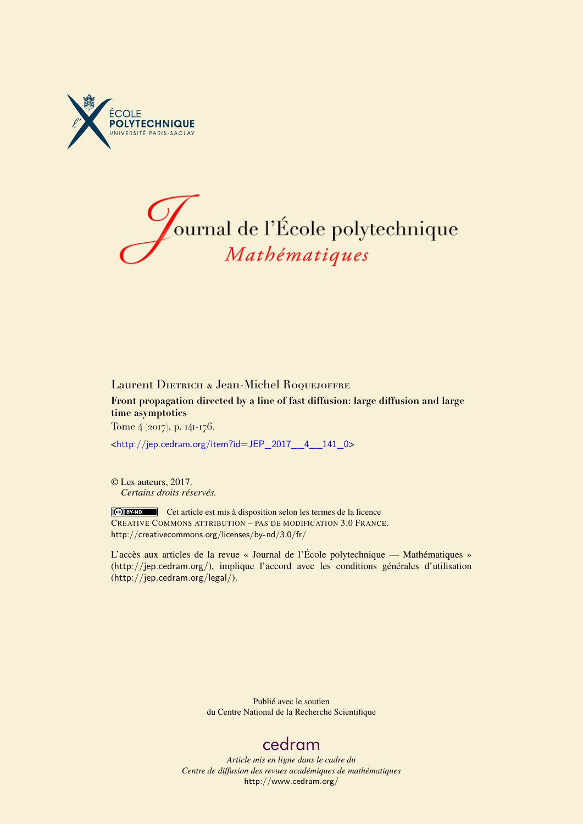



## Laurent DIETRICH & Jean-Michel ROQUEJOFFRE **Front propagation directed by a line of fast diffusion: large diffusion and large time asymptotics** Tome 4 (2017), p. 141-176.

<[http://jep.cedram.org/item?id=JEP\\_2017\\_\\_4\\_\\_141\\_0](http://jep.cedram.org/item?id=JEP_2017__4__141_0)>

© Les auteurs, 2017. *Certains droits réservés.*

Cet article est mis à disposition selon les termes de la licence CREATIVE COMMONS ATTRIBUTION – PAS DE MODIFICATION 3.0 FRANCE. <http://creativecommons.org/licenses/by-nd/3.0/fr/>

L'accès aux articles de la revue « Journal de l'École polytechnique — Mathématiques » (<http://jep.cedram.org/>), implique l'accord avec les conditions générales d'utilisation (<http://jep.cedram.org/legal/>).

> Publié avec le soutien du Centre National de la Recherche Scientifique

## [cedram](http://www.cedram.org/)

*Article mis en ligne dans le cadre du Centre de diffusion des revues académiques de mathématiques* <http://www.cedram.org/>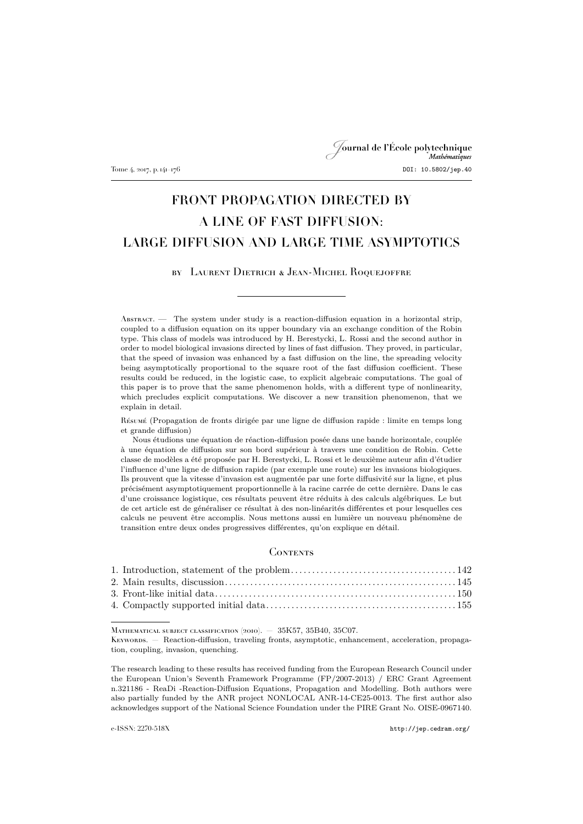## Journal de l'École polytechnique Tome 4, 2017, p. 141–176 DOI: 10.5802/jep.40

# FRONT PROPAGATION DIRECTED BY A LINE OF FAST DIFFUSION: LARGE DIFFUSION AND LARGE TIME ASYMPTOTICS

by Laurent Dietrich & Jean-Michel Roquejoffre

Abstract. — The system under study is a reaction-diffusion equation in a horizontal strip, coupled to a diffusion equation on its upper boundary via an exchange condition of the Robin type. This class of models was introduced by H. Berestycki, L. Rossi and the second author in order to model biological invasions directed by lines of fast diffusion. They proved, in particular, that the speed of invasion was enhanced by a fast diffusion on the line, the spreading velocity being asymptotically proportional to the square root of the fast diffusion coefficient. These results could be reduced, in the logistic case, to explicit algebraic computations. The goal of this paper is to prove that the same phenomenon holds, with a different type of nonlinearity, which precludes explicit computations. We discover a new transition phenomenon, that we explain in detail.

Résumé (Propagation de fronts dirigée par une ligne de diffusion rapide : limite en temps long et grande diffusion)

Nous étudions une équation de réaction-diffusion posée dans une bande horizontale, couplée à une équation de diffusion sur son bord supérieur à travers une condition de Robin. Cette classe de modèles a été proposée par H. Berestycki, L. Rossi et le deuxième auteur afin d'étudier l'influence d'une ligne de diffusion rapide (par exemple une route) sur les invasions biologiques. Ils prouvent que la vitesse d'invasion est augmentée par une forte diffusivité sur la ligne, et plus précisément asymptotiquement proportionnelle à la racine carrée de cette dernière. Dans le cas d'une croissance logistique, ces résultats peuvent être réduits à des calculs algébriques. Le but de cet article est de généraliser ce résultat à des non-linéarités différentes et pour lesquelles ces calculs ne peuvent être accomplis. Nous mettons aussi en lumière un nouveau phénomène de transition entre deux ondes progressives différentes, qu'on explique en détail.

## **CONTENTS**

Mathematical subject classification (2010). — 35K57, 35B40, 35C07.

Keywords. — Reaction-diffusion, traveling fronts, asymptotic, enhancement, acceleration, propagation, coupling, invasion, quenching.

The research leading to these results has received funding from the European Research Council under the European Union's Seventh Framework Programme (FP/2007-2013) / ERC Grant Agreement n.321186 - ReaDi -Reaction-Diffusion Equations, Propagation and Modelling. Both authors were also partially funded by the ANR project NONLOCAL ANR-14-CE25-0013. The first author also acknowledges support of the National Science Foundation under the PIRE Grant No. OISE-0967140.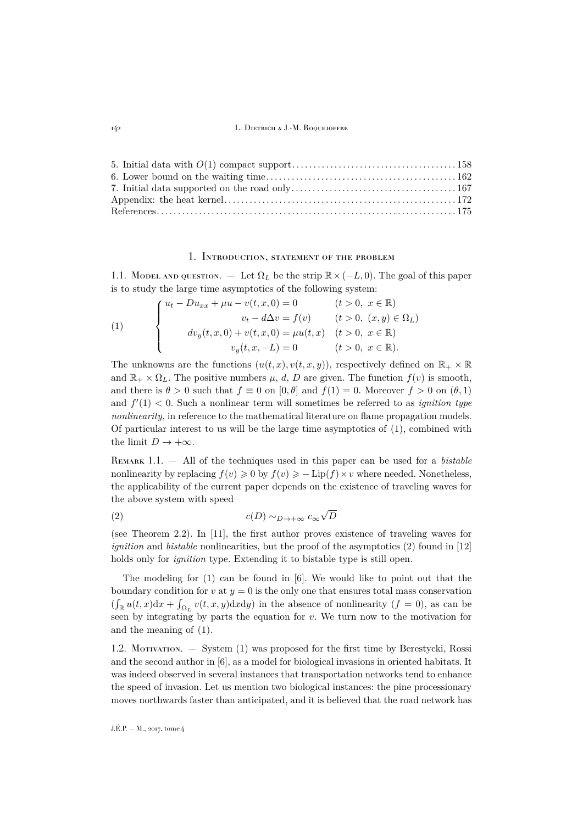#### 1. Introduction, statement of the problem

<span id="page-2-0"></span>1.1. Model and question. — Let  $\Omega_L$  be the strip  $\mathbb{R} \times (-L, 0)$ . The goal of this paper is to study the large time asymptotics of the following system:

<span id="page-2-1"></span>(1) 
$$
\begin{cases} u_t - Du_{xx} + \mu u - v(t, x, 0) = 0 & (t > 0, x \in \mathbb{R}) \\ v_t - d\Delta v = f(v) & (t > 0, (x, y) \in \Omega_L) \\ dv_y(t, x, 0) + v(t, x, 0) = \mu u(t, x) & (t > 0, x \in \mathbb{R}) \\ v_y(t, x, -L) = 0 & (t > 0, x \in \mathbb{R}). \end{cases}
$$

The unknowns are the functions  $(u(t, x), v(t, x, y))$ , respectively defined on  $\mathbb{R}_+ \times \mathbb{R}$ and  $\mathbb{R}_+ \times \Omega_L$ . The positive numbers  $\mu$ , d, D are given. The function  $f(v)$  is smooth, and there is  $\theta > 0$  such that  $f \equiv 0$  on  $[0, \theta]$  and  $f(1) = 0$ . Moreover  $f > 0$  on  $(\theta, 1)$ and  $f'(1) < 0$ . Such a nonlinear term will sometimes be referred to as *ignition type nonlinearity*, in reference to the mathematical literature on flame propagation models. Of particular interest to us will be the large time asymptotics of [\(1\)](#page-2-1), combined with the limit  $D \to +\infty$ .

Remark 1.1. — All of the techniques used in this paper can be used for a *bistable* nonlinearity by replacing  $f(v) \geq 0$  by  $f(v) \geq -Lip(f) \times v$  where needed. Nonetheless, the applicability of the current paper depends on the existence of traveling waves for the above system with speed

<span id="page-2-2"></span>
$$
c(D) \sim_{D \to +\infty} c_{\infty} \sqrt{D}
$$

(see Theorem [2.2\)](#page-6-0). In [\[11\]](#page-35-1), the first author proves existence of traveling waves for *ignition* and *bistable* nonlinearities, but the proof of the asymptotics [\(2\)](#page-2-2) found in [\[12\]](#page-35-2) holds only for *ignition* type. Extending it to bistable type is still open.

The modeling for  $(1)$  can be found in [\[6\]](#page-35-3). We would like to point out that the boundary condition for  $v$  at  $y = 0$  is the only one that ensures total mass conservation  $(\int_{\mathbb{R}} u(t,x)dx + \int_{\Omega_L} v(t,x,y)dx dy)$  in the absence of nonlinearity  $(f = 0)$ , as can be seen by integrating by parts the equation for  $v$ . We turn now to the motivation for and the meaning of [\(1\)](#page-2-1).

1.2. Motivation. — System [\(1\)](#page-2-1) was proposed for the first time by Berestycki, Rossi and the second author in [\[6\]](#page-35-3), as a model for biological invasions in oriented habitats. It was indeed observed in several instances that transportation networks tend to enhance the speed of invasion. Let us mention two biological instances: the pine processionary moves northwards faster than anticipated, and it is believed that the road network has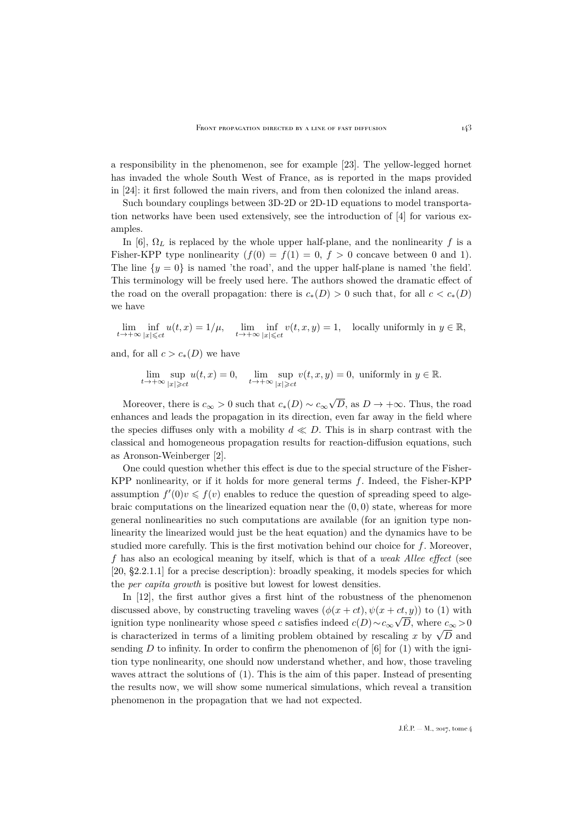a responsibility in the phenomenon, see for example [\[23\]](#page-35-4). The yellow-legged hornet has invaded the whole South West of France, as is reported in the maps provided in [\[24\]](#page-35-5): it first followed the main rivers, and from then colonized the inland areas.

Such boundary couplings between 3D-2D or 2D-1D equations to model transportation networks have been used extensively, see the introduction of [\[4\]](#page-35-6) for various examples.

In [\[6\]](#page-35-3),  $\Omega_L$  is replaced by the whole upper half-plane, and the nonlinearity f is a Fisher-KPP type nonlinearity  $(f(0) = f(1) = 0, f > 0$  concave between 0 and 1). The line  $\{y = 0\}$  is named 'the road', and the upper half-plane is named 'the field'. This terminology will be freely used here. The authors showed the dramatic effect of the road on the overall propagation: there is  $c_*(D) > 0$  such that, for all  $c < c_*(D)$ we have

$$
\lim_{t \to +\infty} \inf_{|x| \leqslant ct} u(t,x) = 1/\mu, \quad \lim_{t \to +\infty} \inf_{|x| \leqslant ct} v(t,x,y) = 1, \quad \text{locally uniformly in } y \in \mathbb{R},
$$

and, for all  $c > c_*(D)$  we have

$$
\lim_{t \to +\infty} \sup_{|x| \geqslant ct} u(t, x) = 0, \quad \lim_{t \to +\infty} \sup_{|x| \geqslant ct} v(t, x, y) = 0, \text{ uniformly in } y \in \mathbb{R}.
$$

Moreover, there is  $c_{\infty} > 0$  such that  $c_*(D) \sim c_{\infty}$ √ D, as  $D \to +\infty$ . Thus, the road enhances and leads the propagation in its direction, even far away in the field where the species diffuses only with a mobility  $d \ll D$ . This is in sharp contrast with the classical and homogeneous propagation results for reaction-diffusion equations, such as Aronson-Weinberger [\[2\]](#page-35-7).

One could question whether this effect is due to the special structure of the Fisher-KPP nonlinearity, or if it holds for more general terms  $f$ . Indeed, the Fisher-KPP assumption  $f'(0)v \leq f(v)$  enables to reduce the question of spreading speed to algebraic computations on the linearized equation near the  $(0, 0)$  state, whereas for more general nonlinearities no such computations are available (for an ignition type nonlinearity the linearized would just be the heat equation) and the dynamics have to be studied more carefully. This is the first motivation behind our choice for  $f$ . Moreover, f has also an ecological meaning by itself, which is that of a *weak Allee effect* (see [\[20,](#page-35-8) §2.2.1.1] for a precise description): broadly speaking, it models species for which the *per capita growth* is positive but lowest for lowest densities.

In [\[12\]](#page-35-2), the first author gives a first hint of the robustness of the phenomenon discussed above, by constructing traveling waves  $(\phi(x+ct), \psi(x+ct,y))$  to [\(1\)](#page-2-1) with ignition type nonlinearity whose speed c satisfies indeed  $c(D) \sim c_{\infty} \sqrt{D}$ , where  $c_{\infty} > 0$ is characterized in terms of a limiting problem obtained by rescaling x by  $\sqrt{D}$  and<br>is characterized in terms of a limiting problem obtained by rescaling x by  $\sqrt{D}$  and sending D to infinity. In order to confirm the phenomenon of [\[6\]](#page-35-3) for  $(1)$  with the ignition type nonlinearity, one should now understand whether, and how, those traveling waves attract the solutions of [\(1\)](#page-2-1). This is the aim of this paper. Instead of presenting the results now, we will show some numerical simulations, which reveal a transition phenomenon in the propagation that we had not expected.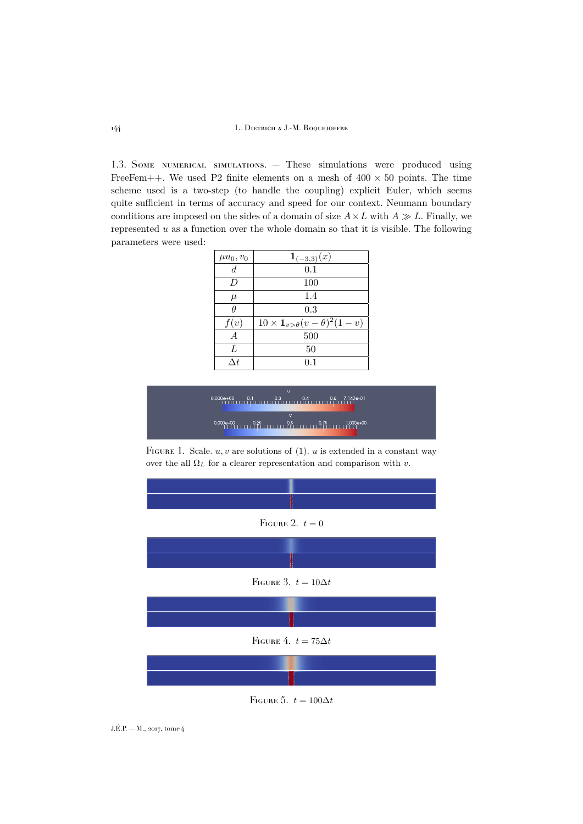1.3. Some numerical simulations. — These simulations were produced using FreeFem++. We used P2 finite elements on a mesh of  $400 \times 50$  points. The time scheme used is a two-step (to handle the coupling) explicit Euler, which seems quite sufficient in terms of accuracy and speed for our context. Neumann boundary conditions are imposed on the sides of a domain of size  $A \times L$  with  $A \gg L$ . Finally, we represented  $u$  as a function over the whole domain so that it is visible. The following parameters were used:

| $\mu u_0, v_0$   | $\mathbf{1}_{(-3,3)}(x)$                                  |  |  |
|------------------|-----------------------------------------------------------|--|--|
| $\boldsymbol{d}$ | 0.1                                                       |  |  |
| D                | 100                                                       |  |  |
| $\mu$            | 1.4                                                       |  |  |
| Ĥ                | 0.3                                                       |  |  |
| f(v)             | $10 \times \mathbf{1}_{v > \theta}(v - \theta)^2 (1 - v)$ |  |  |
| $\overline{A}$   | 500                                                       |  |  |
| L                | 50                                                        |  |  |
| $\Delta t$       | 0.1                                                       |  |  |



FIGURE 1. Scale.  $u, v$  are solutions of [\(1\)](#page-2-1).  $u$  is extended in a constant way over the all  $\Omega_L$  for a clearer representation and comparison with v.



FIGURE 5.  $t = 100\Delta t$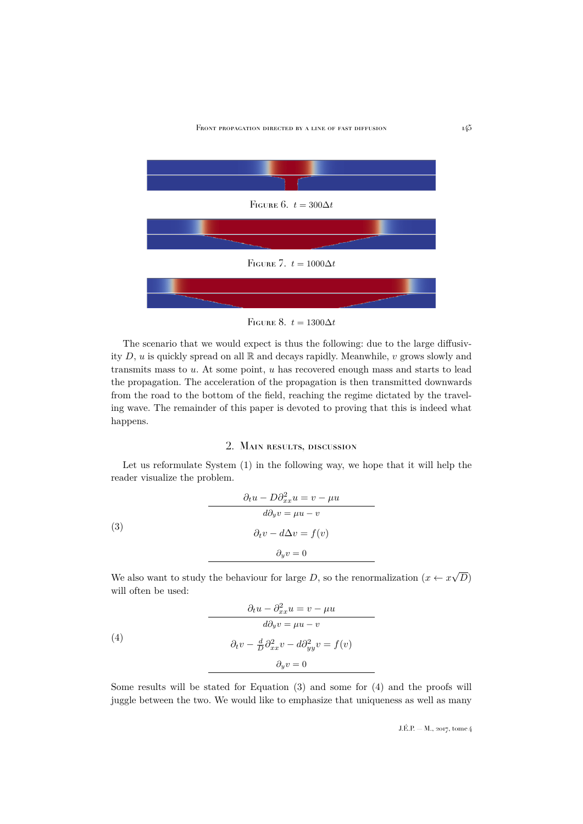<span id="page-5-4"></span>FRONT PROPAGATION DIRECTED BY A LINE OF FAST DIFFUSION 145



<span id="page-5-3"></span>

The scenario that we would expect is thus the following: due to the large diffusivity  $D, u$  is quickly spread on all  $\mathbb R$  and decays rapidly. Meanwhile, v grows slowly and transmits mass to  $u$ . At some point,  $u$  has recovered enough mass and starts to lead the propagation. The acceleration of the propagation is then transmitted downwards from the road to the bottom of the field, reaching the regime dictated by the traveling wave. The remainder of this paper is devoted to proving that this is indeed what happens.

## <span id="page-5-1"></span>2. Main results, discussion

<span id="page-5-0"></span>Let us reformulate System [\(1\)](#page-2-1) in the following way, we hope that it will help the reader visualize the problem.

(3)  
\n
$$
\frac{\partial_t u - D \partial_{xx}^2 u = v - \mu u}{\partial \partial_y v = \mu u - v}
$$
\n
$$
\partial_t v - d \Delta v = f(v)
$$
\n
$$
\partial_y v = 0
$$

We also want to study the behaviour for large D, so the renormalization  $(x \leftarrow x)$ √  $^{^{\prime }}D)$ will often be used:

<span id="page-5-2"></span>(4)  
\n
$$
\frac{\partial_t u - \partial_{xx}^2 u = v - \mu u}{\partial \partial_y v = \mu u - v}
$$
\n
$$
\frac{\partial_t v - \frac{d}{D} \partial_{xx}^2 v - d \partial_{yy}^2 v = f(v)}{\partial_y v = 0}
$$

Some results will be stated for Equation [\(3\)](#page-5-1) and some for [\(4\)](#page-5-2) and the proofs will juggle between the two. We would like to emphasize that uniqueness as well as many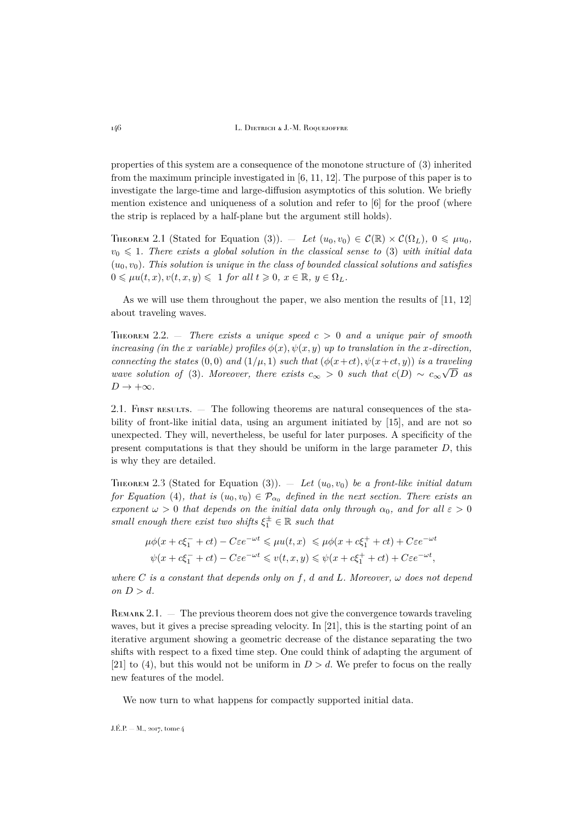properties of this system are a consequence of the monotone structure of [\(3\)](#page-5-1) inherited from the maximum principle investigated in [\[6,](#page-35-3) [11,](#page-35-1) [12\]](#page-35-2). The purpose of this paper is to investigate the large-time and large-diffusion asymptotics of this solution. We briefly mention existence and uniqueness of a solution and refer to [\[6\]](#page-35-3) for the proof (where the strip is replaced by a half-plane but the argument still holds).

THEOREM 2.1 (Stated for Equation [\(3\)](#page-5-1)). — Let  $(u_0, v_0) \in \mathcal{C}(\mathbb{R}) \times \mathcal{C}(\Omega_L)$ ,  $0 \leq \mu u_0$ ,  $v_0 \leq 1$ . There exists a global solution in the classical sense to [\(3\)](#page-5-1) with initial data  $(u_0, v_0)$ . This solution is unique in the class of bounded classical solutions and satisfies  $0 \leq \mu u(t, x), v(t, x, y) \leq 1$  *for all*  $t \geq 0, x \in \mathbb{R}, y \in \Omega_L$ .

As we will use them throughout the paper, we also mention the results of [\[11,](#page-35-1) [12\]](#page-35-2) about traveling waves.

<span id="page-6-0"></span>**THEOREM** 2.2.  $\blacksquare$  *There exists a unique speed*  $c > 0$  *and a unique pair of smooth increasing (in the x variable) profiles*  $\phi(x), \psi(x, y)$  *up to translation in the x-direction, connecting the states*  $(0,0)$  *and*  $(1/\mu, 1)$  *such that*  $(\phi(x+ct), \psi(x+ct, y))$  *is a traveling wave solution of* [\(3\)](#page-5-1)*. Moreover, there exists*  $c_{\infty} > 0$  *such that*  $c(D) \sim c_{\infty} \sqrt{D}$  *as*  $D \to +\infty$ *.* 

2.1. FIRST RESULTS.  $\overline{ }$  The following theorems are natural consequences of the stability of front-like initial data, using an argument initiated by [\[15\]](#page-35-9), and are not so unexpected. They will, nevertheless, be useful for later purposes. A specificity of the present computations is that they should be uniform in the large parameter  $D$ , this is why they are detailed.

<span id="page-6-1"></span>THEOREM 2.3 (Stated for Equation [\(3\)](#page-5-1)).  $=$  *Let*  $(u_0, v_0)$  *be a front-like initial datum for Equation* [\(4\)](#page-5-2)*, that is*  $(u_0, v_0) \in \mathcal{P}_{\alpha_0}$  *defined in the next section. There exists an exponent*  $\omega > 0$  *that depends on the initial data only through*  $\alpha_0$ *, and for all*  $\varepsilon > 0$ *small enough there exist two shifts*  $\xi_1^{\pm} \in \mathbb{R}$  *such that* 

$$
\mu\phi(x+c\xi_1^-+ct) - C\varepsilon e^{-\omega t} \le \mu u(t,x) \le \mu\phi(x+c\xi_1^++ct) + C\varepsilon e^{-\omega t}
$$
  

$$
\psi(x+c\xi_1^-+ct) - C\varepsilon e^{-\omega t} \le v(t,x,y) \le \psi(x+c\xi_1^++ct) + C\varepsilon e^{-\omega t},
$$

*where* C *is a constant that depends only on* f, d and L. Moreover,  $\omega$  does not depend *on*  $D > d$ *.* 

REMARK 2.1. — The previous theorem does not give the convergence towards traveling waves, but it gives a precise spreading velocity. In [\[21\]](#page-35-10), this is the starting point of an iterative argument showing a geometric decrease of the distance separating the two shifts with respect to a fixed time step. One could think of adapting the argument of [\[21\]](#page-35-10) to [\(4\)](#page-5-2), but this would not be uniform in  $D > d$ . We prefer to focus on the really new features of the model.

We now turn to what happens for compactly supported initial data.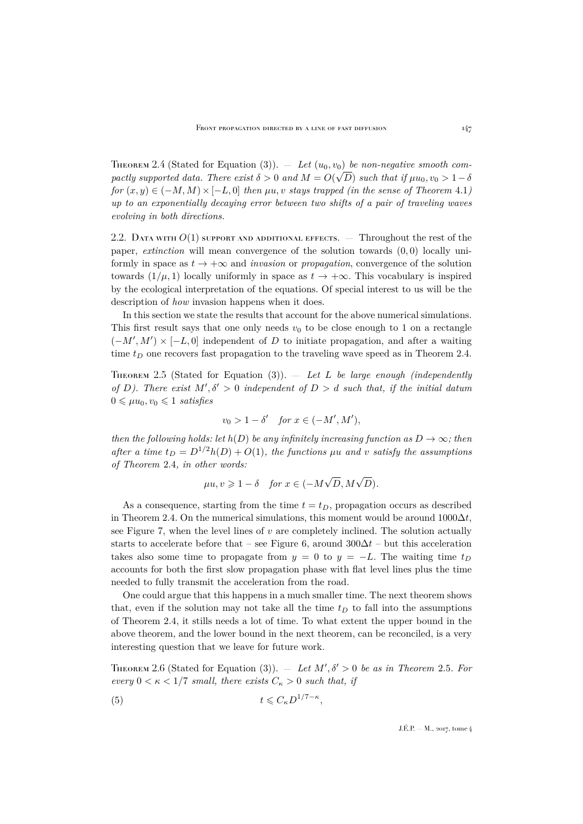<span id="page-7-0"></span>THEOREM 2.4 (Stated for Equation [\(3\)](#page-5-1)). — Let  $(u_0, v_0)$  be non-negative smooth com*pactly supported data. There exist*  $\delta > 0$  *and*  $M = O(\sqrt{D})$  *such that if*  $\mu u_0, v_0 > 1 - \delta$  $for (x, y) \in (-M, M) \times [-L, 0]$  *then*  $\mu u, v$  *stays trapped (in the sense of Theorem* [4.1](#page-16-0)*) up to an exponentially decaying error between two shifts of a pair of traveling waves evolving in both directions.*

2.2. DATA WITH  $O(1)$  support and additional effects.  $-$  Throughout the rest of the paper, *extinction* will mean convergence of the solution towards (0, 0) locally uniformly in space as  $t \to +\infty$  and *invasion* or *propagation*, convergence of the solution towards  $(1/\mu, 1)$  locally uniformly in space as  $t \to +\infty$ . This vocabulary is inspired by the ecological interpretation of the equations. Of special interest to us will be the description of *how* invasion happens when it does.

In this section we state the results that account for the above numerical simulations. This first result says that one only needs  $v_0$  to be close enough to 1 on a rectangle  $(-M', M') \times [-L, 0]$  independent of D to initiate propagation, and after a waiting time  $t_D$  one recovers fast propagation to the traveling wave speed as in Theorem [2.4.](#page-7-0)

<span id="page-7-1"></span>Theorem 2.5 (Stated for Equation [\(3\)](#page-5-1)). — *Let* L *be large enough (independently* of D). There exist  $M', \delta' > 0$  independent of  $D > d$  such that, if the initial datum  $0 \leq \mu u_0, v_0 \leq 1$  *satisfies* 

$$
v_0 > 1 - \delta' \quad \text{for } x \in (-M', M'),
$$

*then the following holds: let*  $h(D)$  *be any infinitely increasing function as*  $D \rightarrow \infty$ *; then after a time*  $t_D = D^{1/2}h(D) + O(1)$ *, the functions*  $\mu u$  *and v satisfy the assumptions of Theorem* [2.4](#page-7-0)*, in other words:*

$$
\mu u, v \geqslant 1 - \delta \quad \text{for } x \in (-M\sqrt{D}, M\sqrt{D}).
$$

As a consequence, starting from the time  $t = t_D$ , propagation occurs as described in Theorem [2.4.](#page-7-0) On the numerical simulations, this moment would be around  $1000\Delta t$ , see Figure [7,](#page-5-3) when the level lines of  $v$  are completely inclined. The solution actually starts to accelerate before that – see Figure [6,](#page-5-4) around  $300\Delta t$  – but this acceleration takes also some time to propagate from  $y = 0$  to  $y = -L$ . The waiting time  $t_D$ accounts for both the first slow propagation phase with flat level lines plus the time needed to fully transmit the acceleration from the road.

One could argue that this happens in a much smaller time. The next theorem shows that, even if the solution may not take all the time  $t_D$  to fall into the assumptions of Theorem [2.4,](#page-7-0) it stills needs a lot of time. To what extent the upper bound in the above theorem, and the lower bound in the next theorem, can be reconciled, is a very interesting question that we leave for future work.

<span id="page-7-3"></span>THEOREM 2.6 (Stated for Equation [\(3\)](#page-5-1)).  $-$  *Let*  $M', \delta' > 0$  *be as in Theorem* [2.5](#page-7-1)*. For every*  $0 < \kappa < 1/7$  *small, there exists*  $C_{\kappa} > 0$  *such that, if* 

<span id="page-7-2"></span>
$$
(5) \t t \leqslant C_{\kappa} D^{1/7 - \kappa},
$$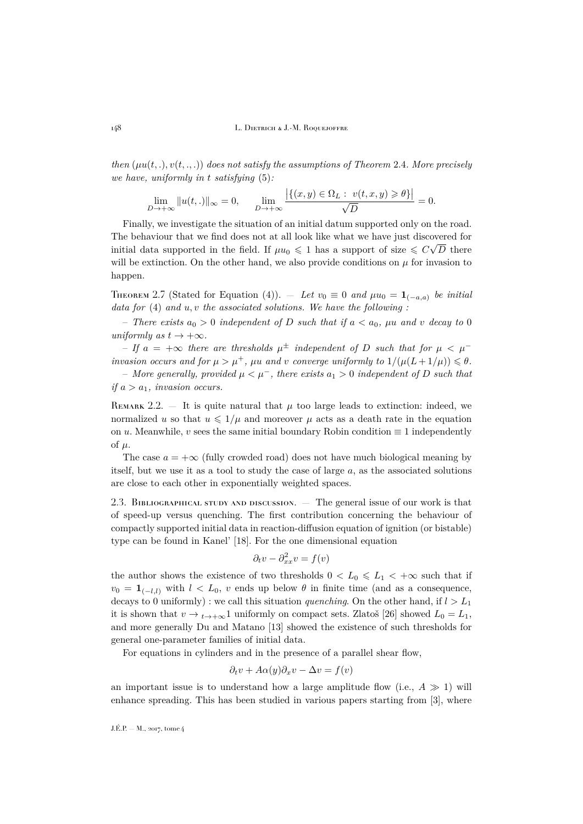*then*  $(\mu u(t, .), v(t, ., .))$  *does not satisfy the assumptions of Theorem [2.4](#page-7-0). More precisely we have, uniformly in* t *satisfying* [\(5\)](#page-7-2)*:*

$$
\lim_{D \to +\infty} ||u(t,.)||_{\infty} = 0, \qquad \lim_{D \to +\infty} \frac{\left| \{ (x,y) \in \Omega_L : v(t,x,y) \geq \theta \} \right|}{\sqrt{D}} = 0.
$$

Finally, we investigate the situation of an initial datum supported only on the road. The behaviour that we find does not at all look like what we have just discovered for initial data supported in the field. If  $\mu u_0 \leqslant 1$  has a support of size  $\leqslant C\sqrt{D}$  there will be extinction. On the other hand, we also provide conditions on  $\mu$  for invasion to happen.

<span id="page-8-0"></span>THEOREM 2.7 (Stated for Equation [\(4\)](#page-5-2)). — Let  $v_0 \equiv 0$  and  $\mu u_0 = \mathbf{1}_{(-a,a)}$  be initial *data for* [\(4\)](#page-5-2) *and* u, v *the associated solutions. We have the following :*

 $-$  *There exists*  $a_0 > 0$  *independent of* D *such that if*  $a < a_0$ ,  $\mu u$  *and* v *decay to* 0 *uniformly as*  $t \rightarrow +\infty$ *.* 

 $-$  *If*  $a = +\infty$  *there are thresholds*  $\mu^{\pm}$  *independent of D such that for*  $\mu < \mu^{-}$ *invasion occurs and for*  $\mu > \mu^+$ ,  $\mu u$  *and v converge uniformly to*  $1/(\mu(L+1/\mu)) \leq \theta$ *.* 

– *More generally, provided* µ < µ<sup>−</sup>*, there exists* a<sup>1</sup> > 0 *independent of* D *such that if*  $a > a_1$ *, invasion occurs.* 

REMARK 2.2.  $-$  It is quite natural that  $\mu$  too large leads to extinction: indeed, we normalized u so that  $u \leq 1/\mu$  and moreover  $\mu$  acts as a death rate in the equation on u. Meanwhile, v sees the same initial boundary Robin condition  $\equiv 1$  independently of  $\mu$ .

The case  $a = +\infty$  (fully crowded road) does not have much biological meaning by itself, but we use it as a tool to study the case of large  $a$ , as the associated solutions are close to each other in exponentially weighted spaces.

2.3. BIBLIOGRAPHICAL STUDY AND DISCUSSION.  $-$  The general issue of our work is that of speed-up versus quenching. The first contribution concerning the behaviour of compactly supported initial data in reaction-diffusion equation of ignition (or bistable) type can be found in Kanel' [\[18\]](#page-35-11). For the one dimensional equation

$$
\partial_t v - \partial_{xx}^2 v = f(v)
$$

the author shows the existence of two thresholds  $0 < L_0 \leq L_1 < +\infty$  such that if  $v_0 = \mathbf{1}_{(-l,l)}$  with  $l < L_0$ , v ends up below  $\theta$  in finite time (and as a consequence, decays to 0 uniformly) : we call this situation *quenching*. On the other hand, if  $l > L_1$ it is shown that  $v \to t \to +\infty$ 1 uniformly on compact sets. Zlatoš [\[26\]](#page-36-0) showed  $L_0 = L_1$ , and more generally Du and Matano [\[13\]](#page-35-12) showed the existence of such thresholds for general one-parameter families of initial data.

For equations in cylinders and in the presence of a parallel shear flow,

$$
\partial_t v + A\alpha(y)\partial_x v - \Delta v = f(v)
$$

an important issue is to understand how a large amplitude flow (i.e.,  $A \gg 1$ ) will enhance spreading. This has been studied in various papers starting from [\[3\]](#page-35-13), where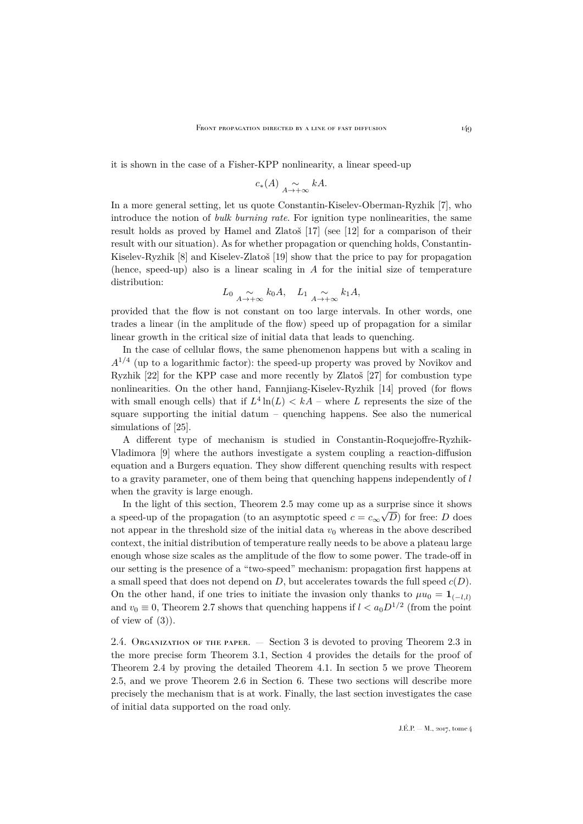it is shown in the case of a Fisher-KPP nonlinearity, a linear speed-up

$$
c_*(A) \underset{A \to +\infty}{\sim} kA.
$$

In a more general setting, let us quote Constantin-Kiselev-Oberman-Ryzhik [\[7\]](#page-35-14), who introduce the notion of *bulk burning rate*. For ignition type nonlinearities, the same result holds as proved by Hamel and Zlatoš [\[17\]](#page-35-15) (see [\[12\]](#page-35-2) for a comparison of their result with our situation). As for whether propagation or quenching holds, Constantin-Kiselev-Ryzhik [\[8\]](#page-35-16) and Kiselev-Zlatoš [\[19\]](#page-35-17) show that the price to pay for propagation (hence, speed-up) also is a linear scaling in  $A$  for the initial size of temperature distribution:

$$
L_0 \underset{A \to +\infty}{\sim} k_0 A
$$
,  $L_1 \underset{A \to +\infty}{\sim} k_1 A$ ,

provided that the flow is not constant on too large intervals. In other words, one trades a linear (in the amplitude of the flow) speed up of propagation for a similar linear growth in the critical size of initial data that leads to quenching.

In the case of cellular flows, the same phenomenon happens but with a scaling in  $A^{1/4}$  (up to a logarithmic factor): the speed-up property was proved by Novikov and Ryzhik [\[22\]](#page-35-18) for the KPP case and more recently by Zlatoš [\[27\]](#page-36-1) for combustion type nonlinearities. On the other hand, Fannjiang-Kiselev-Ryzhik [\[14\]](#page-35-19) proved (for flows with small enough cells) that if  $L^4 \ln(L) < kA$  – where L represents the size of the square supporting the initial datum – quenching happens. See also the numerical simulations of [\[25\]](#page-35-20).

A different type of mechanism is studied in Constantin-Roquejoffre-Ryzhik-Vladimora [\[9\]](#page-35-21) where the authors investigate a system coupling a reaction-diffusion equation and a Burgers equation. They show different quenching results with respect to a gravity parameter, one of them being that quenching happens independently of l when the gravity is large enough.

In the light of this section, Theorem [2.5](#page-7-1) may come up as a surprise since it shows a speed-up of the propagation (to an asymptotic speed  $c = c_{\infty} \sqrt{D}$ ) for free: D does not appear in the threshold size of the initial data  $v_0$  whereas in the above described context, the initial distribution of temperature really needs to be above a plateau large enough whose size scales as the amplitude of the flow to some power. The trade-off in our setting is the presence of a "two-speed" mechanism: propagation first happens at a small speed that does not depend on  $D$ , but accelerates towards the full speed  $c(D)$ . On the other hand, if one tries to initiate the invasion only thanks to  $\mu u_0 = \mathbf{1}_{(-l,l)}$ and  $v_0 \equiv 0$ , Theorem [2.7](#page-8-0) shows that quenching happens if  $l < a_0 D^{1/2}$  (from the point of view of  $(3)$ ).

2.4. ORGANIZATION OF THE PAPER. — Section [3](#page-10-0) is devoted to proving Theorem [2.3](#page-6-1) in the more precise form Theorem [3.1,](#page-12-0) Section [4](#page-15-0) provides the details for the proof of Theorem [2.4](#page-7-0) by proving the detailed Theorem [4.1.](#page-16-0) In section [5](#page-18-0) we prove Theorem [2.5,](#page-7-1) and we prove Theorem [2.6](#page-7-3) in Section [6.](#page-22-0) These two sections will describe more precisely the mechanism that is at work. Finally, the last section investigates the case of initial data supported on the road only.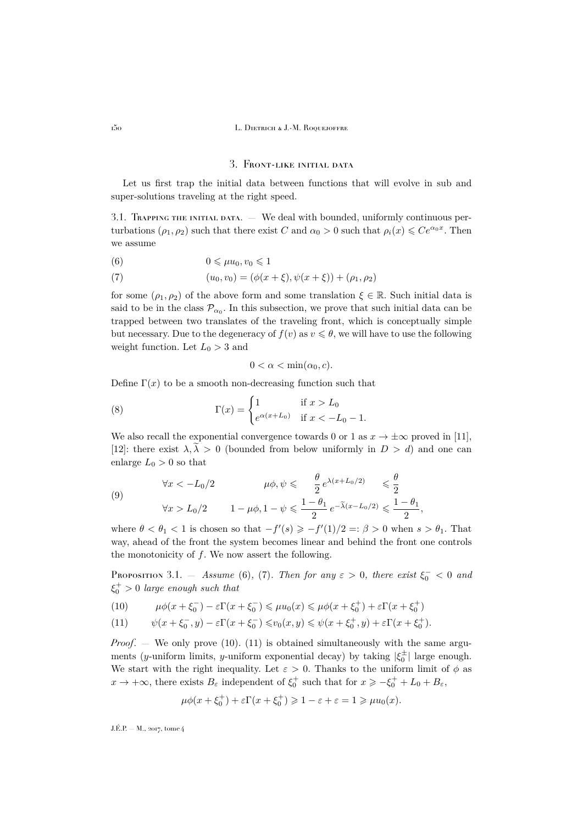## 3. Front-like initial data

<span id="page-10-0"></span>Let us first trap the initial data between functions that will evolve in sub and super-solutions traveling at the right speed.

3.1. Trapping the initial data. — We deal with bounded, uniformly continuous perturbations  $(\rho_1, \rho_2)$  such that there exist C and  $\alpha_0 > 0$  such that  $\rho_i(x) \leq C e^{\alpha_0 x}$ . Then we assume

<span id="page-10-1"></span>
$$
(6) \t\t 0 \leqslant \mu u_0, v_0 \leqslant 1
$$

<span id="page-10-2"></span>(7) 
$$
(u_0, v_0) = (\phi(x + \xi), \psi(x + \xi)) + (\rho_1, \rho_2)
$$

for some  $(\rho_1, \rho_2)$  of the above form and some translation  $\xi \in \mathbb{R}$ . Such initial data is said to be in the class  $\mathcal{P}_{\alpha_0}$ . In this subsection, we prove that such initial data can be trapped between two translates of the traveling front, which is conceptually simple but necessary. Due to the degeneracy of  $f(v)$  as  $v \le \theta$ , we will have to use the following weight function. Let  $L_0 > 3$  and

<span id="page-10-6"></span>
$$
0 < \alpha < \min(\alpha_0, c).
$$

Define  $\Gamma(x)$  to be a smooth non-decreasing function such that

(8) 
$$
\Gamma(x) = \begin{cases} 1 & \text{if } x > L_0 \\ e^{\alpha(x + L_0)} & \text{if } x < -L_0 - 1. \end{cases}
$$

We also recall the exponential convergence towards 0 or 1 as  $x \to \pm \infty$  proved in [\[11\]](#page-35-1), [\[12\]](#page-35-2): there exist  $\lambda, \lambda > 0$  (bounded from below uniformly in  $D > d$ ) and one can enlarge  $L_0 > 0$  so that

<span id="page-10-7"></span>(9) 
$$
\forall x < -L_0/2 \qquad \mu\phi, \psi \leq \frac{\theta}{2} e^{\lambda(x + L_0/2)} \leq \frac{\theta}{2}
$$

$$
\forall x > L_0/2 \qquad 1 - \mu\phi, 1 - \psi \leq \frac{1 - \theta_1}{2} e^{-\lambda(x - L_0/2)} \leq \frac{1 - \theta_1}{2}
$$

where  $\theta < \theta_1 < 1$  is chosen so that  $-f'(s) \geqslant -f'(1)/2 =: \beta > 0$  when  $s > \theta_1$ . That way, ahead of the front the system becomes linear and behind the front one controls the monotonicity of f. We now assert the following.

,

<span id="page-10-5"></span>Proposition 3.1.  $-$  *Assume* [\(6\)](#page-10-1), [\(7\)](#page-10-2)*. Then for any*  $\varepsilon > 0$ , there exist  $\xi_0^- < 0$  and  $\xi_0^+ > 0$  *large enough such that* 

<span id="page-10-3"></span>(10) 
$$
\mu\phi(x+\xi_0^-)-\varepsilon\Gamma(x+\xi_0^-)\leqslant\mu u_0(x)\leqslant\mu\phi(x+\xi_0^+)+\varepsilon\Gamma(x+\xi_0^+)
$$

<span id="page-10-4"></span>(11) 
$$
\psi(x+\xi_0^-,y)-\varepsilon\Gamma(x+\xi_0^-)\leq v_0(x,y)\leq \psi(x+\xi_0^+,y)+\varepsilon\Gamma(x+\xi_0^+).
$$

*Proof.* — We only prove [\(10\)](#page-10-3). [\(11\)](#page-10-4) is obtained simultaneously with the same arguments (y-uniform limits, y-uniform exponential decay) by taking  $|\xi_0^{\pm}|$  large enough. We start with the right inequality. Let  $\varepsilon > 0$ . Thanks to the uniform limit of  $\phi$  as  $x \to +\infty$ , there exists  $B_{\varepsilon}$  independent of  $\xi_0^+$  such that for  $x \geqslant -\xi_0^+ + L_0 + B_{\varepsilon}$ ,

$$
\mu\phi(x+\xi_0^+) + \varepsilon\Gamma(x+\xi_0^+) \geq 1-\varepsilon+\varepsilon = 1 \geq \mu u_0(x).
$$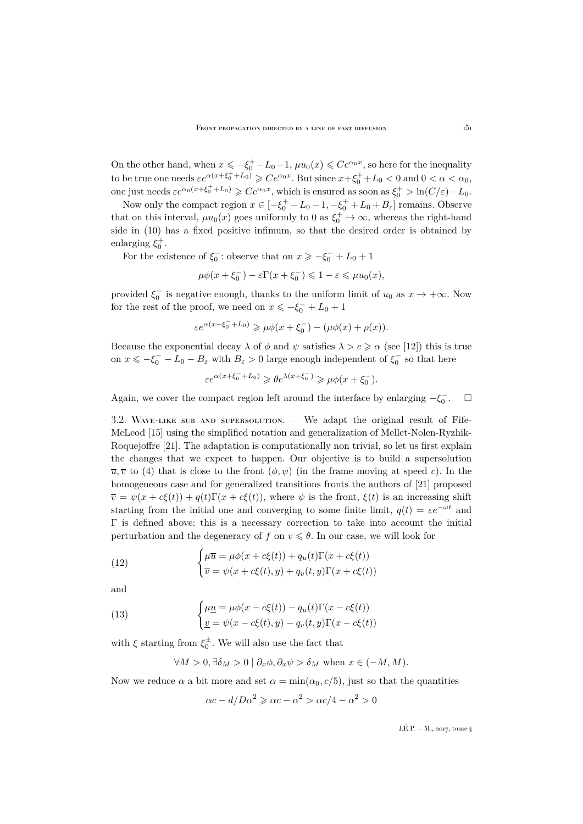On the other hand, when  $x \leq -\xi_0^+ - L_0 - 1$ ,  $\mu u_0(x) \leq Ce^{\alpha_0 x}$ , so here for the inequality to be true one needs  $\varepsilon e^{\alpha(x+\xi_0^+ + L_0)} \geq Ce^{\alpha_0 x}$ . But since  $x+\xi_0^+ + L_0 < 0$  and  $0 < \alpha < \alpha_0$ , one just needs  $\varepsilon e^{\alpha_0(x+\xi_0^+ + L_0)} \geqslant Ce^{\alpha_0 x}$ , which is ensured as soon as  $\xi_0^+ > \ln(C/\varepsilon) - L_0$ .

Now only the compact region  $x \in [-\xi_0^+ - L_0 - 1, -\xi_0^+ + L_0 + B_\varepsilon]$  remains. Observe that on this interval,  $\mu u_0(x)$  goes uniformly to 0 as  $\xi_0^+ \to \infty$ , whereas the right-hand side in [\(10\)](#page-10-3) has a fixed positive infimum, so that the desired order is obtained by enlarging  $\xi_0^+$ .

For the existence of  $\xi_0^-$ : observe that on  $x \geqslant -\xi_0^- + L_0 + 1$ 

$$
\mu\phi(x+\xi_0^-)-\varepsilon\Gamma(x+\xi_0^-)\leqslant 1-\varepsilon\leqslant \mu u_0(x),
$$

provided  $\xi_0^-$  is negative enough, thanks to the uniform limit of  $u_0$  as  $x \to +\infty$ . Now for the rest of the proof, we need on  $x \le -\xi_0^- + L_0 + 1$ 

$$
\varepsilon e^{\alpha(x+\xi_0^-+L_0)}\geqslant \mu \phi(x+\xi_0^-)-(\mu \phi(x)+\rho(x)).
$$

Because the exponential decay  $\lambda$  of  $\phi$  and  $\psi$  satisfies  $\lambda > c \geq \alpha$  (see [\[12\]](#page-35-2)) this is true on  $x \le -\xi_0^- - L_0 - B_\varepsilon$  with  $B_\varepsilon > 0$  large enough independent of  $\xi_0^-$  so that here

$$
\varepsilon e^{\alpha(x+\xi_0^-+L_0)}\geqslant \theta e^{\lambda(x+\xi_0^-)}\geqslant \mu \phi(x+\xi_0^-).
$$

Again, we cover the compact region left around the interface by enlarging  $-\xi_0^ \Box$ 

<span id="page-11-2"></span>3.2. Wave-like sub and supersolution. — We adapt the original result of Fife-McLeod [\[15\]](#page-35-9) using the simplified notation and generalization of Mellet-Nolen-Ryzhik-Roquejoffre [\[21\]](#page-35-10). The adaptation is computationally non trivial, so let us first explain the changes that we expect to happen. Our objective is to build a supersolution  $\overline{u}, \overline{v}$  to [\(4\)](#page-5-2) that is close to the front  $(\phi, \psi)$  (in the frame moving at speed c). In the homogeneous case and for generalized transitions fronts the authors of [\[21\]](#page-35-10) proposed  $\overline{v} = \psi(x + c\xi(t)) + q(t)\Gamma(x + c\xi(t))$ , where  $\psi$  is the front,  $\xi(t)$  is an increasing shift starting from the initial one and converging to some finite limit,  $q(t) = \varepsilon e^{-\omega t}$  and Γ is defined above: this is a necessary correction to take into account the initial perturbation and the degeneracy of f on  $v \le \theta$ . In our case, we will look for

<span id="page-11-0"></span>(12) 
$$
\begin{cases} \mu \overline{u} = \mu \phi(x + c\xi(t)) + q_u(t) \Gamma(x + c\xi(t)) \\ \overline{v} = \psi(x + c\xi(t), y) + q_v(t, y) \Gamma(x + c\xi(t)) \end{cases}
$$

and

(13) 
$$
\begin{cases} \mu \underline{u} = \mu \phi(x - c\xi(t)) - q_u(t) \Gamma(x - c\xi(t)) \\ \underline{v} = \psi(x - c\xi(t), y) - q_v(t, y) \Gamma(x - c\xi(t)) \end{cases}
$$

with  $\xi$  starting from  $\xi_0^{\pm}$ . We will also use the fact that

<span id="page-11-1"></span>
$$
\forall M > 0, \exists \delta_M > 0 \mid \partial_x \phi, \partial_x \psi > \delta_M \text{ when } x \in (-M, M).
$$

Now we reduce  $\alpha$  a bit more and set  $\alpha = \min(\alpha_0, c/5)$ , just so that the quantities

$$
\alpha c - d/D\alpha^2 \ge \alpha c - \alpha^2 > \alpha c/4 - \alpha^2 > 0
$$

 $J.E.P. = M$ , 2017, tome 4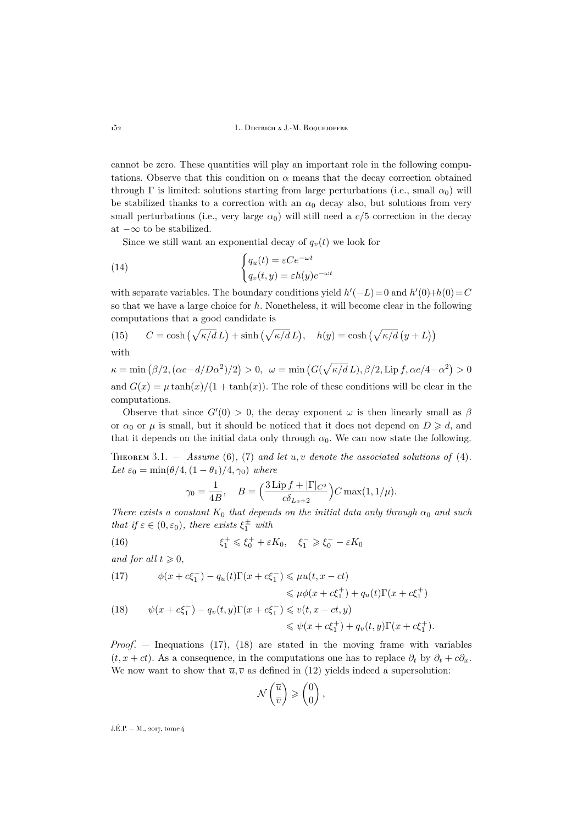cannot be zero. These quantities will play an important role in the following computations. Observe that this condition on  $\alpha$  means that the decay correction obtained through  $\Gamma$  is limited: solutions starting from large perturbations (i.e., small  $\alpha_0$ ) will be stabilized thanks to a correction with an  $\alpha_0$  decay also, but solutions from very small perturbations (i.e., very large  $\alpha_0$ ) will still need a  $c/5$  correction in the decay at  $-\infty$  to be stabilized.

<span id="page-12-3"></span>Since we still want an exponential decay of  $q_v(t)$  we look for

(14) 
$$
\begin{cases} q_u(t) = \varepsilon C e^{-\omega t} \\ q_v(t, y) = \varepsilon h(y) e^{-\omega t} \end{cases}
$$

with separate variables. The boundary conditions yield  $h'(-L)=0$  and  $h'(0)+h(0)=C$ so that we have a large choice for  $h$ . Nonetheless, it will become clear in the following computations that a good candidate is

<span id="page-12-4"></span>(15) 
$$
C = \cosh\left(\sqrt{\kappa/d} L\right) + \sinh\left(\sqrt{\kappa/d} L\right), \quad h(y) = \cosh\left(\sqrt{\kappa/d} \left(y + L\right)\right)
$$

with

 $\kappa = \min(\beta/2, (\alpha c - d/D\alpha^2)/2) > 0, \quad \omega = \min(G(\sqrt{\kappa/d} L), \beta/2, \text{Lip } f, \alpha c/4 - \alpha^2) > 0$ and  $G(x) = \mu \tanh(x)/(1 + \tanh(x))$ . The role of these conditions will be clear in the computations.

Observe that since  $G'(0) > 0$ , the decay exponent  $\omega$  is then linearly small as  $\beta$ or  $\alpha_0$  or  $\mu$  is small, but it should be noticed that it does not depend on  $D \geq d$ , and that it depends on the initial data only through  $\alpha_0$ . We can now state the following.

<span id="page-12-0"></span>Theorem 3.1. — *Assume* [\(6\)](#page-10-1)*,* [\(7\)](#page-10-2) *and let* u, v *denote the associated solutions of* [\(4\)](#page-5-2)*.* Let  $\varepsilon_0 = \min(\theta/4, (1-\theta_1)/4, \gamma_0)$  where

$$
\gamma_0 = \frac{1}{4B}
$$
,  $B = \left(\frac{3\operatorname{Lip} f + |\Gamma|_{C^2}}{c\delta_{L_0+2}}\right)C \max(1, 1/\mu).$ 

*There exists a constant*  $K_0$  *that depends on the initial data only through*  $\alpha_0$  *and such that if*  $\varepsilon \in (0, \varepsilon_0)$ *, there exists*  $\xi_1^{\pm}$  *with* 

(16) 
$$
\xi_1^+ \leq \xi_0^+ + \varepsilon K_0, \quad \xi_1^- \geq \xi_0^- - \varepsilon K_0
$$

*and for all*  $t \geqslant 0$ *,* 

<span id="page-12-2"></span><span id="page-12-1"></span>(17) 
$$
\phi(x + c\xi_1^-) - q_u(t)\Gamma(x + c\xi_1^-) \le \mu u(t, x - ct)
$$

$$
\le \mu \phi(x + c\xi_1^+) + q_u(t)\Gamma(x + c\xi_1^+)
$$
  
(18) 
$$
\psi(x + c\xi_1^-) - q_v(t, y)\Gamma(x + c\xi_1^-) \le v(t, x - ct, y)
$$

$$
\leqslant \psi(x+c\xi_1^+) + q_v(t,y)\Gamma(x+c\xi_1^+).
$$

*Proof*. — Inequations [\(17\)](#page-12-1), [\(18\)](#page-12-2) are stated in the moving frame with variables  $(t, x + ct)$ . As a consequence, in the computations one has to replace  $\partial_t$  by  $\partial_t + c\partial_x$ . We now want to show that  $\overline{u}, \overline{v}$  as defined in [\(12\)](#page-11-0) yields indeed a supersolution:

$$
\mathcal{N}\begin{pmatrix} \overline{u} \\ \overline{v} \end{pmatrix} \geqslant \begin{pmatrix} 0 \\ 0 \end{pmatrix},
$$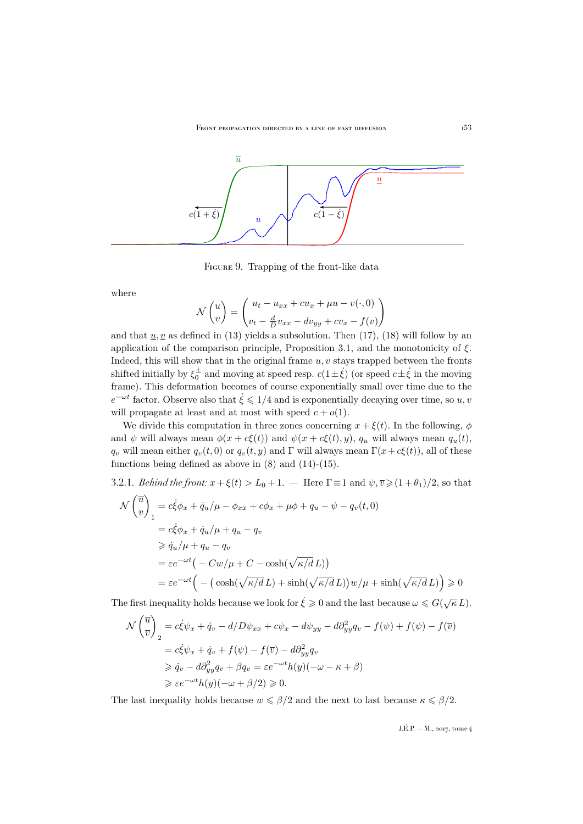

FIGURE 9. Trapping of the front-like data

where

$$
\mathcal{N}\begin{pmatrix}u\\v\end{pmatrix} = \begin{pmatrix}u_t - u_{xx} + cu_x + \mu u - v(\cdot, 0)\\v_t - \frac{d}{D}v_{xx} - dv_{yy} + cv_x - f(v)\end{pmatrix}
$$

and that  $u, v$  as defined in [\(13\)](#page-11-1) yields a subsolution. Then [\(17\)](#page-12-1), [\(18\)](#page-12-2) will follow by an application of the comparison principle, Proposition [3.1,](#page-10-5) and the monotonicity of  $\xi$ . Indeed, this will show that in the original frame  $u, v$  stays trapped between the fronts shifted initially by  $\xi_0^{\pm}$  and moving at speed resp.  $c(1\pm\dot{\xi})$  (or speed  $c\pm\dot{\xi}$  in the moving frame). This deformation becomes of course exponentially small over time due to the  $e^{-\omega t}$  factor. Observe also that  $\dot{\xi} \leq 1/4$  and is exponentially decaying over time, so  $u, v$ will propagate at least and at most with speed  $c + o(1)$ .

We divide this computation in three zones concerning  $x + \xi(t)$ . In the following,  $\phi$ and  $\psi$  will always mean  $\phi(x + c\xi(t))$  and  $\psi(x + c\xi(t), y)$ ,  $q_u$  will always mean  $q_u(t)$ ,  $q_v$  will mean either  $q_v(t, 0)$  or  $q_v(t, y)$  and Γ will always mean  $\Gamma(x+c\xi(t))$ , all of these functions being defined as above in  $(8)$  and  $(14)-(15)$  $(14)-(15)$  $(14)-(15)$ .

3.2.1. *Behind the front:* 
$$
x + \xi(t) > L_0 + 1
$$
. - Here  $\Gamma \equiv 1$  and  $\psi, \overline{v} \ge (1 + \theta_1)/2$ , so that  
\n
$$
\mathcal{N}\left(\frac{\overline{u}}{v}\right)_1 = c\dot{\xi}\phi_x + \dot{q}_u/\mu - \phi_{xx} + c\phi_x + \mu\phi + q_u - \psi - q_v(t,0)
$$
\n
$$
= c\dot{\xi}\phi_x + \dot{q}_u/\mu + q_u - q_v
$$
\n
$$
\ge \dot{q}_u/\mu + q_u - q_v
$$
\n
$$
= \varepsilon e^{-\omega t} \left( -Cw/\mu + C - \cosh(\sqrt{\kappa/d}L) \right)
$$
\n
$$
= \varepsilon e^{-\omega t} \left( -\left( \cosh(\sqrt{\kappa/d}L) + \sinh(\sqrt{\kappa/d}L) \right) w/\mu + \sinh(\sqrt{\kappa/d}L) \right) \ge 0
$$

The first inequality holds because we look for  $\dot{\xi} \geq 0$  and the last because  $\omega \leq G(\sqrt{\kappa} L)$ .

$$
\mathcal{N}\left(\overline{\overline{u}}\right)_2 = c\xi\psi_x + \dot{q}_v - d/D\psi_{xx} + c\psi_x - d\psi_{yy} - d\partial_{yy}^2 q_v - f(\psi) + f(\psi) - f(\overline{v})
$$
  
\n
$$
= c\xi\psi_x + \dot{q}_v + f(\psi) - f(\overline{v}) - d\partial_{yy}^2 q_v
$$
  
\n
$$
\geq \dot{q}_v - d\partial_{yy}^2 q_v + \beta q_v = \varepsilon e^{-\omega t} h(y)(-\omega - \kappa + \beta)
$$
  
\n
$$
\geq \varepsilon e^{-\omega t} h(y)(-\omega + \beta/2) \geq 0.
$$

The last inequality holds because  $w \le \beta/2$  and the next to last because  $\kappa \le \beta/2$ .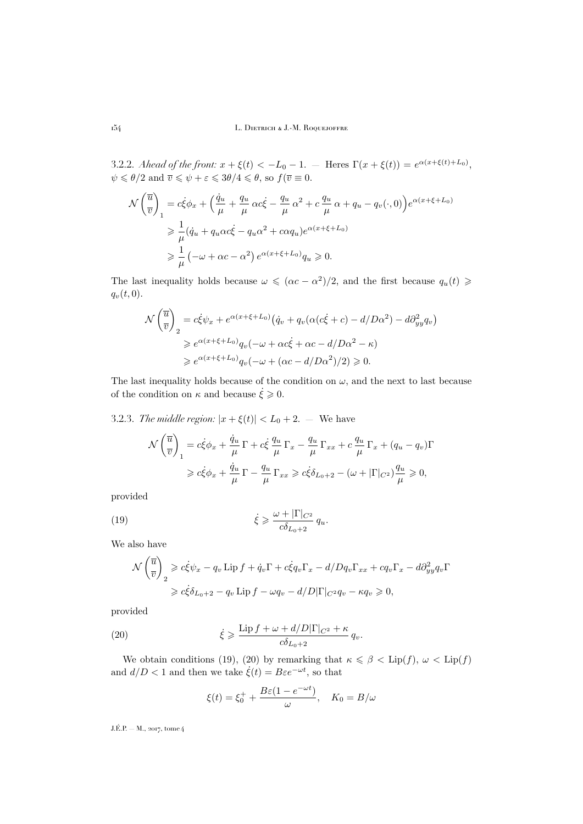3.2.2. *Ahead of the front:*  $x + \xi(t) < -L_0 - 1$ . – Heres  $\Gamma(x + \xi(t)) = e^{\alpha(x + \xi(t) + L_0)}$ ,  $\psi \leqslant \theta/2$  and  $\overline{v} \leqslant \psi + \varepsilon \leqslant 3\theta/4 \leqslant \theta$ , so  $f(\overline{v} \equiv 0$ .

$$
\mathcal{N}\left(\overline{\overline{u}}\right)_1 = c\dot{\xi}\phi_x + \left(\frac{\dot{q}_u}{\mu} + \frac{q_u}{\mu}\alpha c\dot{\xi} - \frac{q_u}{\mu}\alpha^2 + c\frac{q_u}{\mu}\alpha + q_u - q_v(\cdot, 0)\right)e^{\alpha(x+\xi+L_0)}
$$
  
\n
$$
\geq \frac{1}{\mu}(\dot{q}_u + q_u\alpha c\dot{\xi} - q_u\alpha^2 + c\alpha q_u)e^{\alpha(x+\xi+L_0)}
$$
  
\n
$$
\geq \frac{1}{\mu}\left(-\omega + \alpha c - \alpha^2\right)e^{\alpha(x+\xi+L_0)}q_u \geq 0.
$$

The last inequality holds because  $\omega \leqslant (\alpha c - \alpha^2)/2$ , and the first because  $q_u(t) \geqslant$  $q_v(t, 0)$ .

$$
\mathcal{N}\left(\overline{\overline{u}}\right)_2 = c\xi\psi_x + e^{\alpha(x+\xi+L_0)}\left(\dot{q}_v + q_v(\alpha(c\xi+c) - d/D\alpha^2) - d\partial_{yy}^2 q_v\right)
$$
  
\n
$$
\geq e^{\alpha(x+\xi+L_0)}q_v(-\omega + \alpha c\xi + \alpha c - d/D\alpha^2 - \kappa)
$$
  
\n
$$
\geq e^{\alpha(x+\xi+L_0)}q_v(-\omega + (\alpha c - d/D\alpha^2)/2) \geq 0.
$$

The last inequality holds because of the condition on  $\omega$ , and the next to last because of the condition on  $\kappa$  and because  $\dot{\xi} \geq 0$ .

<span id="page-14-2"></span>3.2.3. *The middle region:*  $|x + \xi(t)| < L_0 + 2$ . — We have

<span id="page-14-0"></span>
$$
\mathcal{N}\left(\frac{\overline{u}}{\overline{v}}\right)_1 = c\dot{\xi}\phi_x + \frac{\dot{q}_u}{\mu}\Gamma + c\dot{\xi}\frac{q_u}{\mu}\Gamma_x - \frac{q_u}{\mu}\Gamma_{xx} + c\frac{q_u}{\mu}\Gamma_x + (q_u - q_v)\Gamma
$$
  

$$
\geq c\dot{\xi}\phi_x + \frac{\dot{q}_u}{\mu}\Gamma - \frac{q_u}{\mu}\Gamma_{xx} \geq c\dot{\xi}\delta_{L_0+2} - (\omega + |\Gamma|_{C^2})\frac{q_u}{\mu} \geq 0,
$$

provided

(19) 
$$
\dot{\xi} \geqslant \frac{\omega + |\Gamma|_{C^2}}{c\delta_{L_0+2}} q_u.
$$

We also have

$$
\mathcal{N}\left(\overline{\overline{v}}\right)_2 \geqslant c\dot{\xi}\psi_x - q_v \operatorname{Lip} f + \dot{q}_v \Gamma + c\dot{\xi}q_v \Gamma_x - d/Dq_v \Gamma_{xx} + cq_v \Gamma_x - d\partial_{yy}^2 q_v \Gamma
$$
  

$$
\geqslant c\dot{\xi}\delta_{L_0+2} - q_v \operatorname{Lip} f - \omega q_v - d/D|\Gamma|_{C^2} q_v - \kappa q_v \geqslant 0,
$$

provided

(20) 
$$
\dot{\xi} \geqslant \frac{\text{Lip } f + \omega + d/D |\Gamma|_{C^2} + \kappa}{c \delta_{L_0+2}} q_v.
$$

We obtain conditions [\(19\)](#page-14-0), [\(20\)](#page-14-1) by remarking that  $\kappa \le \beta < \text{Lip}(f)$ ,  $\omega < \text{Lip}(f)$ and  $d/D < 1$  and then we take  $\dot{\xi}(t) = B\varepsilon e^{-\omega t}$ , so that

<span id="page-14-1"></span>
$$
\xi(t) = \xi_0^+ + \frac{B\varepsilon(1 - e^{-\omega t})}{\omega}, \quad K_0 = B/\omega
$$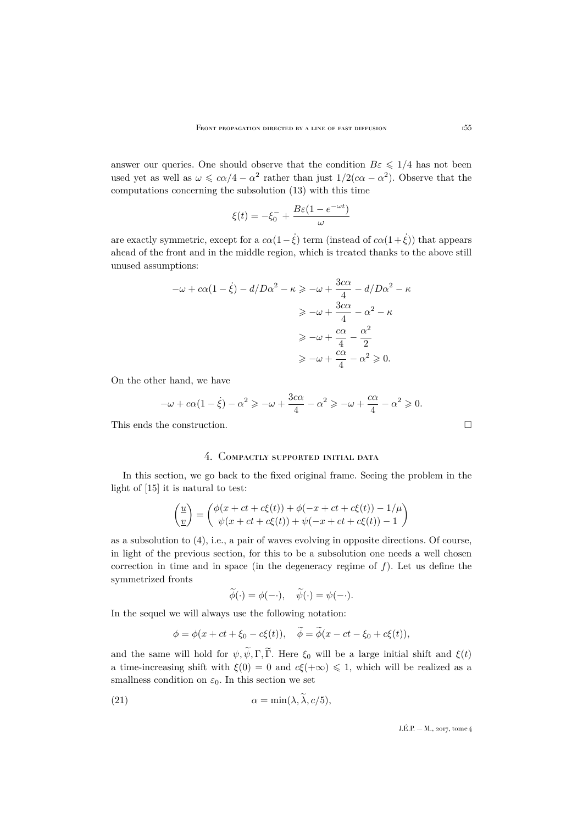answer our queries. One should observe that the condition  $B\epsilon \leq 1/4$  has not been used yet as well as  $\omega \leqslant c\alpha/4 - \alpha^2$  rather than just  $1/2(c\alpha - \alpha^2)$ . Observe that the computations concerning the subsolution [\(13\)](#page-11-1) with this time

$$
\xi(t)=-\xi_0^-+\frac{B\varepsilon(1-e^{-\omega t})}{\omega}
$$

are exactly symmetric, except for a  $c\alpha(1-\dot{\xi})$  term (instead of  $c\alpha(1+\dot{\xi})$ ) that appears ahead of the front and in the middle region, which is treated thanks to the above still unused assumptions:

$$
-\omega + c\alpha(1 - \dot{\xi}) - d/D\alpha^2 - \kappa \ge -\omega + \frac{3c\alpha}{4} - d/D\alpha^2 - \kappa
$$

$$
\ge -\omega + \frac{3c\alpha}{4} - \alpha^2 - \kappa
$$

$$
\ge -\omega + \frac{c\alpha}{4} - \frac{\alpha^2}{2}
$$

$$
\ge -\omega + \frac{c\alpha}{4} - \alpha^2 \ge 0.
$$

On the other hand, we have

$$
-\omega + c\alpha(1 - \xi) - \alpha^2 \ge -\omega + \frac{3c\alpha}{4} - \alpha^2 \ge -\omega + \frac{c\alpha}{4} - \alpha^2 \ge 0.
$$

This ends the construction.

## 4. Compactly supported initial data

<span id="page-15-0"></span>In this section, we go back to the fixed original frame. Seeing the problem in the light of [\[15\]](#page-35-9) it is natural to test:

$$
\begin{pmatrix} \underline{u} \\ \underline{v} \end{pmatrix} = \begin{pmatrix} \phi(x + ct + c\xi(t)) + \phi(-x + ct + c\xi(t)) - 1/\mu \\ \psi(x + ct + c\xi(t)) + \psi(-x + ct + c\xi(t)) - 1 \end{pmatrix}
$$

as a subsolution to [\(4\)](#page-5-2), i.e., a pair of waves evolving in opposite directions. Of course, in light of the previous section, for this to be a subsolution one needs a well chosen correction in time and in space (in the degeneracy regime of  $f$ ). Let us define the symmetrized fronts

$$
\widetilde{\phi}(\cdot) = \phi(-\cdot), \quad \widetilde{\psi}(\cdot) = \psi(-\cdot).
$$

In the sequel we will always use the following notation:

$$
\phi = \phi(x + ct + \xi_0 - c\xi(t)), \quad \widetilde{\phi} = \widetilde{\phi}(x - ct - \xi_0 + c\xi(t)),
$$

and the same will hold for  $\psi, \tilde{\psi}, \Gamma, \tilde{\Gamma}$ . Here  $\xi_0$  will be a large initial shift and  $\xi(t)$ a time-increasing shift with  $\xi(0) = 0$  and  $c\xi(+\infty) \leq 1$ , which will be realized as a smallness condition on  $\varepsilon_0$ . In this section we set

(21) 
$$
\alpha = \min(\lambda, \lambda, c/5),
$$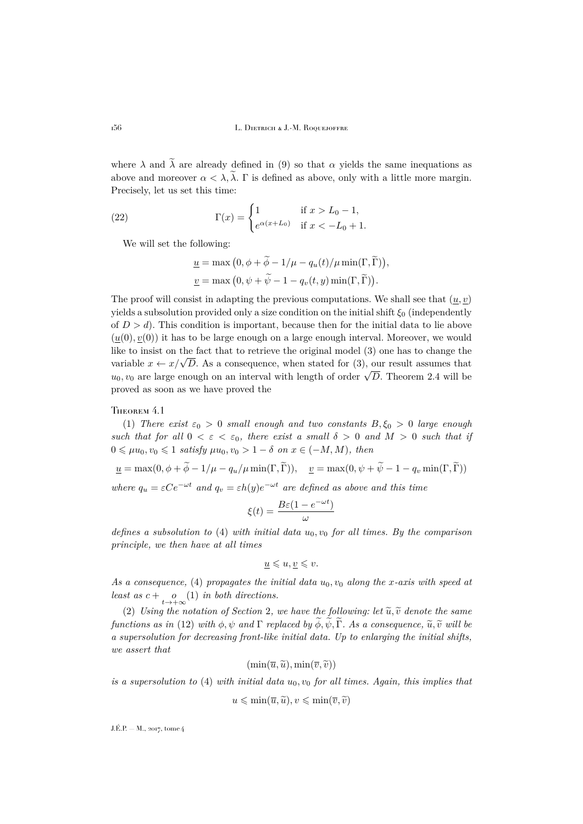where  $\lambda$  and  $\tilde{\lambda}$  are already defined in [\(9\)](#page-10-7) so that  $\alpha$  yields the same inequations as above and moreover  $\alpha < \lambda$ ,  $\tilde{\lambda}$ . Γ is defined as above, only with a little more margin. Precisely, let us set this time:

(22) 
$$
\Gamma(x) = \begin{cases} 1 & \text{if } x > L_0 - 1, \\ e^{\alpha(x + L_0)} & \text{if } x < -L_0 + 1. \end{cases}
$$

We will set the following:

$$
\underline{u} = \max (0, \phi + \widetilde{\phi} - 1/\mu - q_u(t)/\mu \min(\Gamma, \widetilde{\Gamma})),
$$
  

$$
\underline{v} = \max (0, \psi + \widetilde{\psi} - 1 - q_v(t, y) \min(\Gamma, \widetilde{\Gamma})).
$$

The proof will consist in adapting the previous computations. We shall see that  $(u, v)$ yields a subsolution provided only a size condition on the initial shift  $\xi_0$  (independently of  $D > d$ ). This condition is important, because then for the initial data to lie above  $(u(0), v(0))$  it has to be large enough on a large enough interval. Moreover, we would like to insist on the fact that to retrieve the original model [\(3\)](#page-5-1) one has to change the The consist of the fact that to retrieve the original model [\(3\)](#page-5-1) one has to change the variable  $x \leftarrow x/\sqrt{D}$ . As a consequence, when stated for (3), our result assumes that variable  $x \leftarrow x/\sqrt{D}$ . As a consequence, when stated for (3), our result assumes that  $u_0, v_0$  are large enough on an interval with length of order  $\sqrt{D}$ . Theorem [2.4](#page-7-0) will be proved as soon as we have proved the

#### <span id="page-16-0"></span>THEOREM 4.1

(1) *There exist*  $\varepsilon_0 > 0$  *small enough and two constants*  $B, \xi_0 > 0$  *large enough such that for all*  $0 < \varepsilon < \varepsilon_0$ *, there exist a small*  $\delta > 0$  *and*  $M > 0$  *such that if*  $0 \leq \mu u_0, v_0 \leq 1$  *satisfy*  $\mu u_0, v_0 > 1 - \delta$  *on*  $x \in (-M, M)$ *, then* 

$$
\underline{u} = \max(0, \phi + \widetilde{\phi} - 1/\mu - q_u/\mu \min(\Gamma, \widetilde{\Gamma})), \quad \underline{v} = \max(0, \psi + \widetilde{\psi} - 1 - q_v \min(\Gamma, \widetilde{\Gamma}))
$$

*where*  $q_u = \varepsilon C e^{-\omega t}$  *and*  $q_v = \varepsilon h(y) e^{-\omega t}$  *are defined as above and this time* 

$$
\xi(t) = \frac{B\varepsilon(1 - e^{-\omega t})}{\omega}
$$

*defines a subsolution to* [\(4\)](#page-5-2) *with initial data*  $u_0, v_0$  *for all times. By the comparison principle, we then have at all times*

$$
\underline{u} \leqslant u, \underline{v} \leqslant v.
$$

As a consequence, [\(4\)](#page-5-2) propagates the initial data  $u_0, v_0$  along the x-axis with speed at *least as*  $c + \underset{t \to +\infty}{o}(1)$  *in both directions.* 

([2](#page-5-0)) *Using the notation of Section* 2, we have the following: let  $\tilde{u}, \tilde{v}$  denote the same *functions as in* [\(12\)](#page-11-0) *with*  $\phi$ ,  $\psi$  *and*  $\Gamma$  *replaced by*  $\widetilde{\phi}$ ,  $\widetilde{\psi}$ ,  $\widetilde{\Gamma}$ *. As a consequence*,  $\widetilde{u}$ ,  $\widetilde{v}$  *will be a supersolution for decreasing front-like initial data. Up to enlarging the initial shifts, we assert that*

$$
(\min(\overline{u},\widetilde{u}),\min(\overline{v},\widetilde{v}))
$$

*is a supersolution to* [\(4\)](#page-5-2) *with initial data*  $u_0$ ,  $v_0$  *for all times. Again, this implies that* 

$$
u \leqslant \min(\overline{u}, \widetilde{u}), v \leqslant \min(\overline{v}, \widetilde{v})
$$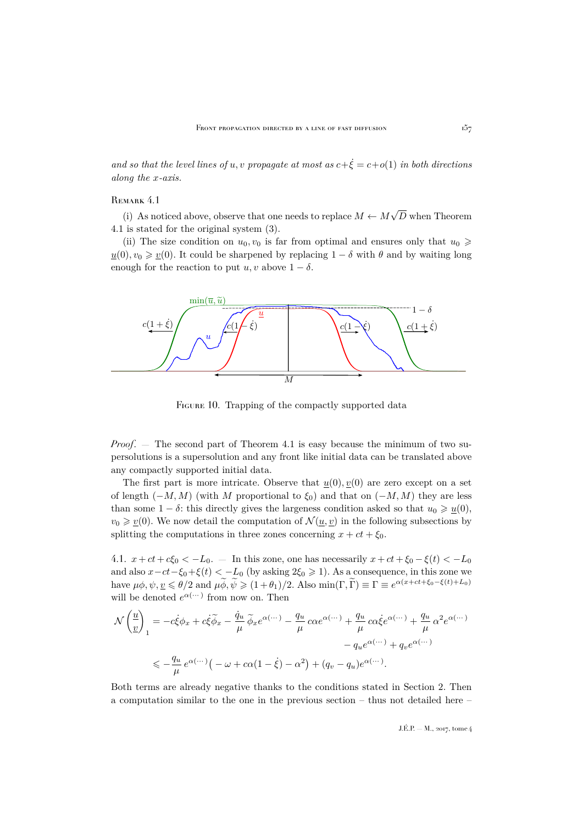*and so that the level lines of u, v propagate at most as*  $c+\dot{\xi} = c+o(1)$  *in both directions along the* x*-axis.*

#### REMARK 4.1

(i) As noticed above, observe that one needs to replace  $M \leftarrow M$ √ D when Theorem [4.1](#page-16-0) is stated for the original system [\(3\)](#page-5-1).

(ii) The size condition on  $u_0, v_0$  is far from optimal and ensures only that  $u_0 \geq$  $u(0), v_0 \geq v(0)$ . It could be sharpened by replacing  $1 - \delta$  with  $\theta$  and by waiting long enough for the reaction to put  $u, v$  above  $1 - \delta$ .



FIGURE 10. Trapping of the compactly supported data

*Proof.* — The second part of Theorem [4.1](#page-16-0) is easy because the minimum of two supersolutions is a supersolution and any front like initial data can be translated above any compactly supported initial data.

The first part is more intricate. Observe that  $u(0), v(0)$  are zero except on a set of length  $(-M, M)$  (with M proportional to  $\xi_0$ ) and that on  $(-M, M)$  they are less than some  $1 - \delta$ : this directly gives the largeness condition asked so that  $u_0 \geq u(0)$ ,  $v_0 \geq v(0)$ . We now detail the computation of  $\mathcal{N}(\underline{u}, \underline{v})$  in the following subsections by splitting the computations in three zones concerning  $x + ct + \xi_0$ .

4.1.  $x + ct + c\xi_0 < -L_0$ . — In this zone, one has necessarily  $x + ct + \xi_0 - \xi(t) < -L_0$ and also  $x-ct-\xi_0+\xi(t) < -L_0$  (by asking  $2\xi_0 \ge 1$ ). As a consequence, in this zone we have  $\mu\phi, \psi, \underline{v} \leq \theta/2$  and  $\mu\widetilde{\phi}, \widetilde{\psi} \geq (1+\theta_1)/2$ . Also  $\min(\Gamma, \widetilde{\Gamma}) \equiv \Gamma \equiv e^{\alpha(x+ct+\xi_0-\xi(t)+L_0)}$ will be denoted  $e^{\alpha(\cdots)}$  from now on. Then

$$
\mathcal{N}\left(\frac{u}{v}\right)_1 = -c\dot{\xi}\phi_x + c\dot{\xi}\tilde{\phi}_x - \frac{\dot{q}_u}{\mu}\tilde{\phi}_xe^{\alpha(\cdots)} - \frac{q_u}{\mu}c\alpha e^{\alpha(\cdots)} + \frac{q_u}{\mu}c\alpha \dot{\xi}e^{\alpha(\cdots)} + \frac{q_u}{\mu}\alpha^2 e^{\alpha(\cdots)} - q_u e^{\alpha(\cdots)} + q_v e^{\alpha(\cdots)} \n\leq -\frac{q_u}{\mu}e^{\alpha(\cdots)}\left(-\omega + c\alpha(1-\dot{\xi}) - \alpha^2\right) + (q_v - q_u)e^{\alpha(\cdots)}.
$$

Both terms are already negative thanks to the conditions stated in Section 2. Then a computation similar to the one in the previous section – thus not detailed here –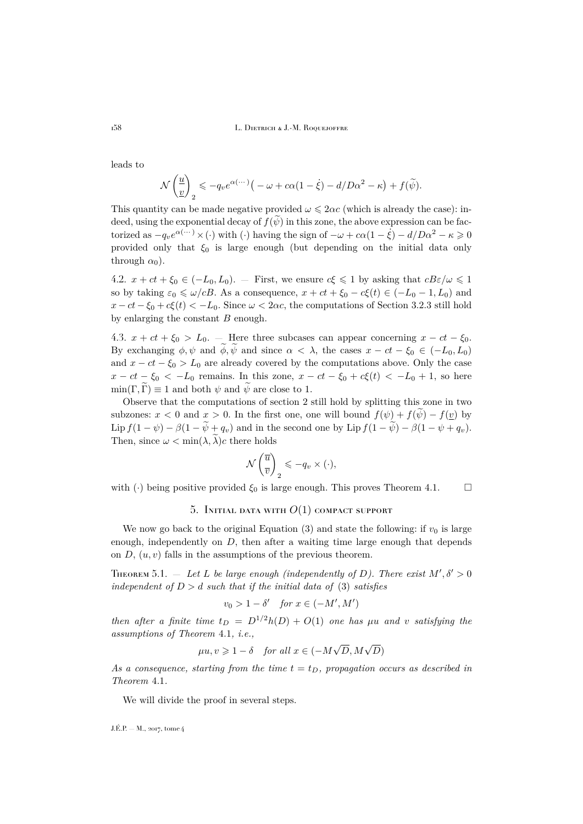leads to

$$
\mathcal{N}\left(\frac{u}{v}\right)_2 \leqslant -q_v e^{\alpha(\cdots)}\big(-\omega + c\alpha(1-\dot{\xi}) - d/D\alpha^2 - \kappa\big) + f(\widetilde{\psi}).
$$

This quantity can be made negative provided  $\omega \leq 2\alpha c$  (which is already the case): indeed, using the exponential decay of  $f(\psi)$  in this zone, the above expression can be factorized as  $-q_ve^{(\alpha(\cdots))}\times(\cdot)$  with  $(\cdot)$  having the sign of  $-\omega + c\alpha(1-\dot{\xi}) - d/D\alpha^2 - \kappa \geq 0$ provided only that  $\xi_0$  is large enough (but depending on the initial data only through  $\alpha_0$ ).

4.2.  $x + ct + \xi_0 \in (-L_0, L_0)$ . — First, we ensure  $c\xi \leq 1$  by asking that  $cB\varepsilon/\omega \leq 1$ so by taking  $\varepsilon_0 \leq \omega/cB$ . As a consequence,  $x + ct + \xi_0 - c\xi(t) \in (-L_0 - 1, L_0)$  and  $x - ct - \xi_0 + c\xi(t) < -L_0$ . Since  $\omega < 2\alpha c$ , the computations of Section [3.2.3](#page-14-2) still hold by enlarging the constant  $B$  enough.

4.3.  $x + ct + \xi_0 > L_0$ . — Here three subcases can appear concerning  $x - ct - \xi_0$ . By exchanging  $\phi, \psi$  and  $\phi, \tilde{\psi}$  and since  $\alpha < \lambda$ , the cases  $x - ct - \xi_0 \in (-L_0, L_0)$ and  $x - ct - \xi_0 > L_0$  are already covered by the computations above. Only the case  $x - ct - \xi_0 < -L_0$  remains. In this zone,  $x - ct - \xi_0 + c\xi(t) < -L_0 + 1$ , so here  $min(\Gamma, \Gamma) \equiv 1$  and both  $\psi$  and  $\psi$  are close to 1.

Observe that the computations of section 2 still hold by splitting this zone in two subzones:  $x < 0$  and  $x > 0$ . In the first one, one will bound  $f(\psi) + f(\psi) - f(\psi)$  by Lip  $f(1 - \psi) - \beta(1 - \widetilde{\psi} + q_v)$  and in the second one by Lip  $f(1 - \widetilde{\psi}) - \beta(1 - \psi + q_v)$ . Then, since  $\omega < \min(\lambda, \lambda)c$  there holds

$$
\mathcal{N}\left(\overline{\overline{u}}_{\overline{v}}\right)_2 \leqslant -q_v \times (\cdot),
$$

<span id="page-18-0"></span>with (·) being positive provided  $\xi_0$  is large enough. This proves Theorem [4.1.](#page-16-0)  $\Box$ 

## 5. INITIAL DATA WITH  $O(1)$  compact support

We now go back to the original Equation [\(3\)](#page-5-1) and state the following: if  $v_0$  is large enough, independently on  $D$ , then after a waiting time large enough that depends on  $D, (u, v)$  falls in the assumptions of the previous theorem.

<span id="page-18-1"></span>THEOREM 5.1.  $-$  Let L be large enough (independently of D). There exist  $M', \delta' > 0$ *independent of*  $D > d$  *such that if the initial data of* [\(3\)](#page-5-1) *satisfies* 

$$
v_0 > 1 - \delta' \quad \text{for } x \in (-M', M')
$$

*then after a finite time*  $t_D = D^{1/2}h(D) + O(1)$  *one has*  $\mu u$  *and* v *satisfying the assumptions of Theorem* [4.1](#page-16-0)*, i.e.,* √

$$
\mu u, v \geq 1 - \delta \quad \text{for all } x \in (-M\sqrt{D}, M\sqrt{D})
$$

As a consequence, starting from the time  $t = t_D$ , propagation occurs as described in *Theorem* [4.1](#page-16-0)*.*

We will divide the proof in several steps.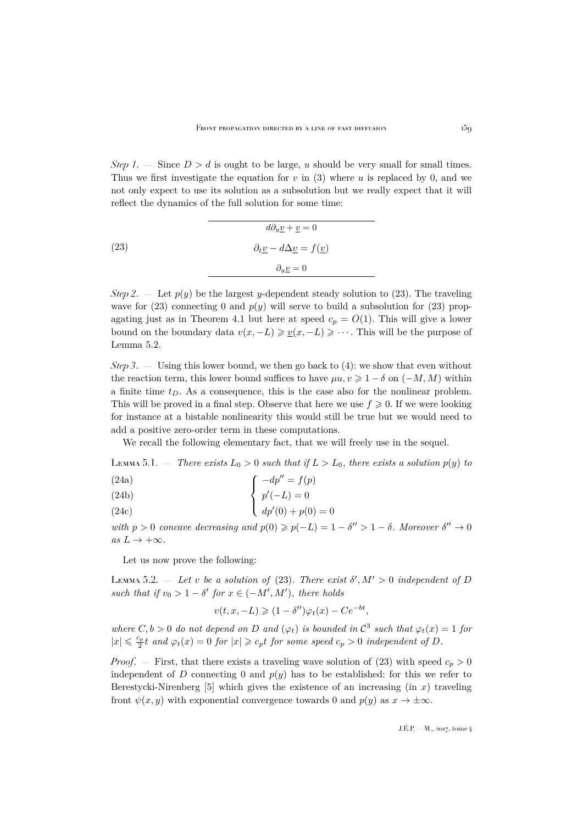*Step 1.* — Since  $D > d$  is ought to be large, u should be very small for small times. Thus we first investigate the equation for  $v$  in [\(3\)](#page-5-1) where  $u$  is replaced by 0, and we not only expect to use its solution as a subsolution but we really expect that it will reflect the dynamics of the full solution for some time:

<span id="page-19-0"></span>

|      | $d\partial_y \underline{v} + \underline{v} = 0$                        |
|------|------------------------------------------------------------------------|
| (23) | $\partial_t \underline{v} - d \Delta \underline{v} = f(\underline{v})$ |
|      | $\partial_{\mathbf{u}}\mathbf{v}=0$                                    |

*Step 2.* — Let  $p(y)$  be the largest y-dependent steady solution to [\(23\)](#page-19-0). The traveling wave for [\(23\)](#page-19-0) connecting 0 and  $p(y)$  will serve to build a subsolution for (23) prop-agating just as in Theorem [4.1](#page-16-0) but here at speed  $c_p = O(1)$ . This will give a lower bound on the boundary data  $v(x, -L) \geq v(x, -L) \geq \cdots$ . This will be the purpose of Lemma [5.2.](#page-19-1)

*Step 3*. — Using this lower bound, we then go back to [\(4\)](#page-5-2): we show that even without the reaction term, this lower bound suffices to have  $\mu u, v \geq 1 - \delta$  on  $(-M, M)$  within a finite time  $t_D$ . As a consequence, this is the case also for the nonlinear problem. This will be proved in a final step. Observe that here we use  $f \geqslant 0$ . If we were looking for instance at a bistable nonlinearity this would still be true but we would need to add a positive zero-order term in these computations.

We recall the following elementary fact, that we will freely use in the sequel.

LEMMA 5.1. — *There exists*  $L_0 > 0$  *such that if*  $L > L_0$ *, there exists a solution*  $p(y)$  *to* 

(24a)
$$
\int \frac{-dp'' = f(p)}{p'(-L) - 0}
$$

$$
\begin{cases}\n24b\n\end{cases}\n\left\{\n\begin{array}{c}\np'(-L) = 0\n\end{array}\n\right.
$$

(24c) 
$$
dp'(0) + p(0) = 0
$$

with  $p > 0$  *concave decreasing and*  $p(0) \geq p(-L) = 1 - \delta' > 1 - \delta$ . Moreover  $\delta'' \to 0$  $as L \rightarrow +\infty$ *.* 

Let us now prove the following:

<span id="page-19-1"></span>LEMMA 5.2.  $-$  Let v be a solution of [\(23\)](#page-19-0). There exist  $\delta', M' > 0$  independent of D such that if  $v_0 > 1 - \delta'$  for  $x \in (-M', M')$ , there holds

$$
v(t, x, -L) \geq (1 - \delta'')\varphi_t(x) - Ce^{-bt},
$$

where  $C, b > 0$  do not depend on D and  $(\varphi_t)$  is bounded in  $\mathcal{C}^3$  such that  $\varphi_t(x) = 1$  for  $|x| \leqslant \frac{c_p}{2}t$  and  $\varphi_t(x) = 0$  for  $|x| \geqslant c_p t$  for some speed  $c_p > 0$  independent of D.

*Proof.* – First, that there exists a traveling wave solution of [\(23\)](#page-19-0) with speed  $c_p > 0$ independent of D connecting 0 and  $p(y)$  has to be established: for this we refer to Berestycki-Nirenberg  $[5]$  which gives the existence of an increasing (in x) traveling front  $\psi(x, y)$  with exponential convergence towards 0 and  $p(y)$  as  $x \to \pm \infty$ .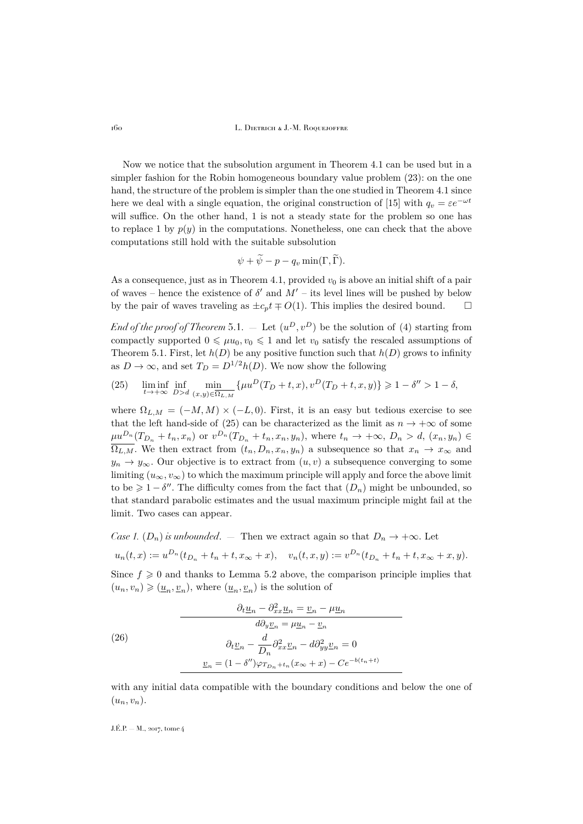Now we notice that the subsolution argument in Theorem [4.1](#page-16-0) can be used but in a simpler fashion for the Robin homogeneous boundary value problem [\(23\)](#page-19-0): on the one hand, the structure of the problem is simpler than the one studied in Theorem [4.1](#page-16-0) since here we deal with a single equation, the original construction of [\[15\]](#page-35-9) with  $q_v = \varepsilon e^{-\omega t}$ will suffice. On the other hand, 1 is not a steady state for the problem so one has to replace 1 by  $p(y)$  in the computations. Nonetheless, one can check that the above computations still hold with the suitable subsolution

$$
\psi + \psi - p - q_v \min(\Gamma, \Gamma).
$$

As a consequence, just as in Theorem [4.1,](#page-16-0) provided  $v_0$  is above an initial shift of a pair of waves – hence the existence of  $\delta'$  and  $M'$  – its level lines will be pushed by below by the pair of waves traveling as  $\pm c_p t \mp O(1)$ . This implies the desired bound.  $\square$ 

*End of the proof of Theorem* [5.1.](#page-18-1)  $-$  Let  $(u^D, v^D)$  be the solution of [\(4\)](#page-5-2) starting from compactly supported  $0 \leq \mu u_0, v_0 \leq 1$  and let  $v_0$  satisfy the rescaled assumptions of Theorem [5.1.](#page-18-1) First, let  $h(D)$  be any positive function such that  $h(D)$  grows to infinity as  $D \to \infty$ , and set  $T_D = D^{1/2}h(D)$ . We now show the following

<span id="page-20-0"></span>(25) 
$$
\liminf_{t \to +\infty} \inf_{D > d} \min_{(x,y) \in \overline{\Omega_{L,M}}} \{ \mu u^D(T_D + t, x), v^D(T_D + t, x, y) \} \ge 1 - \delta'' > 1 - \delta,
$$

where  $\Omega_{L,M} = (-M, M) \times (-L, 0)$ . First, it is an easy but tedious exercise to see that the left hand-side of [\(25\)](#page-20-0) can be characterized as the limit as  $n \to +\infty$  of some  $\mu u^{D_n}(T_{D_n}+t_n,x_n)$  or  $v^{D_n}(T_{D_n}+t_n,x_n,y_n)$ , where  $t_n \to +\infty$ ,  $D_n > d$ ,  $(x_n,y_n) \in$  $\overline{\Omega_{L,M}}$ . We then extract from  $(t_n, D_n, x_n, y_n)$  a subsequence so that  $x_n \to x_\infty$  and  $y_n \to y_\infty$ . Our objective is to extract from  $(u, v)$  a subsequence converging to some limiting  $(u_{\infty}, v_{\infty})$  to which the maximum principle will apply and force the above limit to be  $\geq 1-\delta''$ . The difficulty comes from the fact that  $(D_n)$  might be unbounded, so that standard parabolic estimates and the usual maximum principle might fail at the limit. Two cases can appear.

*Case 1.* ( $D_n$ ) *is unbounded.* — Then we extract again so that  $D_n \to +\infty$ . Let

$$
u_n(t,x) := u^{D_n}(t_{D_n} + t_n + t, x_{\infty} + x), \quad v_n(t,x,y) := v^{D_n}(t_{D_n} + t_n + t, x_{\infty} + x, y).
$$

Since  $f \geq 0$  and thanks to Lemma [5.2](#page-19-1) above, the comparison principle implies that  $(u_n, v_n) \geqslant (\underline{u}_n, \underline{v}_n)$ , where  $(\underline{u}_n, \underline{v}_n)$  is the solution of

<span id="page-20-1"></span>(26)  
\n
$$
\frac{\partial_t \underline{u}_n - \partial_{xx}^2 \underline{u}_n = \underline{v}_n - \mu \underline{u}_n}{d \partial_y \underline{v}_n = \mu \underline{u}_n - \underline{v}_n}
$$
\n
$$
\frac{\partial_t \underline{v}_n - \frac{d}{D_n} \partial_{xx}^2 \underline{v}_n - d \partial_{yy}^2 \underline{v}_n = 0}{\underline{v}_n = (1 - \delta'') \varphi_{T_{D_n} + t_n} (x_\infty + x) - C e^{-b(t_n + t)}}
$$

with any initial data compatible with the boundary conditions and below the one of  $(u_n, v_n)$ .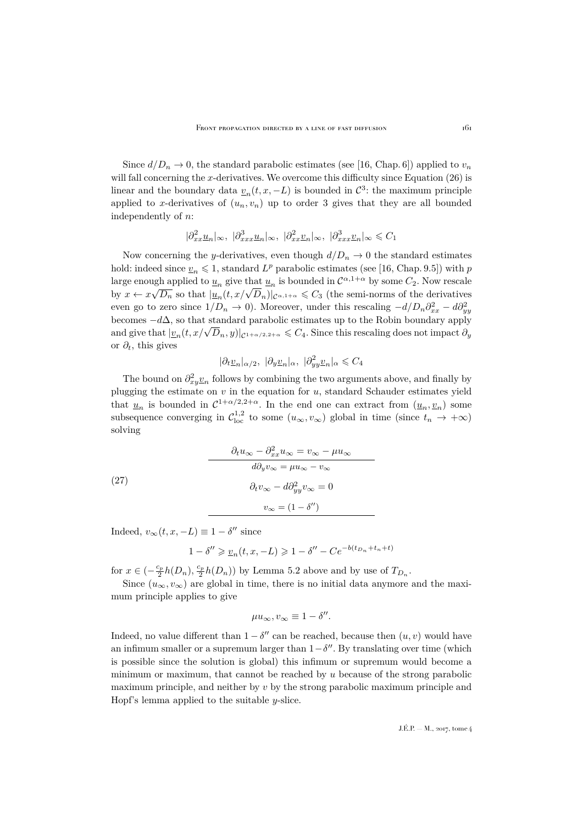Since  $d/D_n \to 0$ , the standard parabolic estimates (see [\[16,](#page-35-23) Chap. 6]) applied to  $v_n$ will fall concerning the x-derivatives. We overcome this difficulty since Equation  $(26)$  is linear and the boundary data  $\underline{v}_n(t, x, -L)$  is bounded in  $\mathcal{C}^3$ : the maximum principle applied to x-derivatives of  $(u_n, v_n)$  up to order 3 gives that they are all bounded independently of n:

$$
|\partial_{xx}^2 \underline{u}_n|_{\infty}, \ |\partial_{xxx}^3 \underline{u}_n|_{\infty}, \ |\partial_{xx}^2 \underline{v}_n|_{\infty}, \ |\partial_{xxx}^3 \underline{v}_n|_{\infty} \leq C_1
$$

Now concerning the y-derivatives, even though  $d/D_n \to 0$  the standard estimates hold: indeed since  $\underline{v}_n \leq 1$ , standard  $L^p$  parabolic estimates (see [\[16,](#page-35-23) Chap. 9.5]) with p large enough applied to  $\underline{u}_n$  give that  $\underline{u}_n$  is bounded in  $\mathcal{C}^{\alpha,1+\alpha}$  by some  $C_2$ . Now rescale by  $x \leftarrow x\sqrt{D_n}$  so that  $|\underline{u}_n(t, x/\sqrt{D_n})|_{C^{\alpha,1+\alpha}} \leq C_3$  (the semi-norms of the derivatives even go to zero since  $1/D_n \to 0$ ). Moreover, under this rescaling  $-d/D_n \partial_{xx}^2 - d \partial_{yy}^2$ becomes  $-d\Delta$ , so that standard parabolic estimates up to the Robin boundary apply becomes  $-u\Delta$ , so that standard parabolic estimates up to the Robin boundary apply<br>and give that  $|v_n(t, x/\sqrt{D_n}, y)|_{C^{1+\alpha/2, 2+\alpha}} \leq C_4$ . Since this rescaling does not impact  $\partial_y$ or  $\partial_t$ , this gives

$$
|\partial_t \underline{v}_n|_{\alpha/2}, \ |\partial_y \underline{v}_n|_{\alpha}, \ |\partial_{yy}^2 \underline{v}_n|_{\alpha} \leqslant C_4
$$

The bound on  $\partial_{xy}^2 \underline{v}_n$  follows by combining the two arguments above, and finally by plugging the estimate on  $v$  in the equation for  $u$ , standard Schauder estimates yield that  $\underline{u}_n$  is bounded in  $C^{1+\alpha/2,2+\alpha}$ . In the end one can extract from  $(\underline{u}_n, \underline{v}_n)$  some subsequence converging in  $\mathcal{C}^{1,2}_{loc}$  to some  $(u_\infty, v_\infty)$  global in time (since  $t_n \to +\infty$ ) solving

(27)  
\n
$$
\frac{\partial_t u_{\infty} - \partial_{xx}^2 u_{\infty} = v_{\infty} - \mu u_{\infty}}{d \partial_y v_{\infty} = \mu u_{\infty} - v_{\infty}}
$$
\n
$$
\partial_t v_{\infty} - d \partial_{yy}^2 v_{\infty} = 0
$$
\n
$$
v_{\infty} = (1 - \delta'')
$$

Indeed,  $v_{\infty}(t, x, -L) \equiv 1 - \delta''$  since

$$
1-\delta''\geqslant \underline{v}_n(t,x,-L)\geqslant 1-\delta''-Ce^{-b(t_{D_n}+t_n+t)}
$$

for  $x \in (-\frac{c_p}{2}h(D_n), \frac{c_p}{2}h(D_n))$  by Lemma [5.2](#page-19-1) above and by use of  $T_{D_n}$ .

Since  $(u_{\infty}, v_{\infty})$  are global in time, there is no initial data anymore and the maximum principle applies to give

$$
\mu u_{\infty}, v_{\infty} \equiv 1 - \delta''.
$$

Indeed, no value different than  $1 - \delta''$  can be reached, because then  $(u, v)$  would have an infimum smaller or a supremum larger than  $1-\delta''$ . By translating over time (which is possible since the solution is global) this infimum or supremum would become a minimum or maximum, that cannot be reached by u because of the strong parabolic maximum principle, and neither by  $v$  by the strong parabolic maximum principle and Hopf's lemma applied to the suitable y-slice.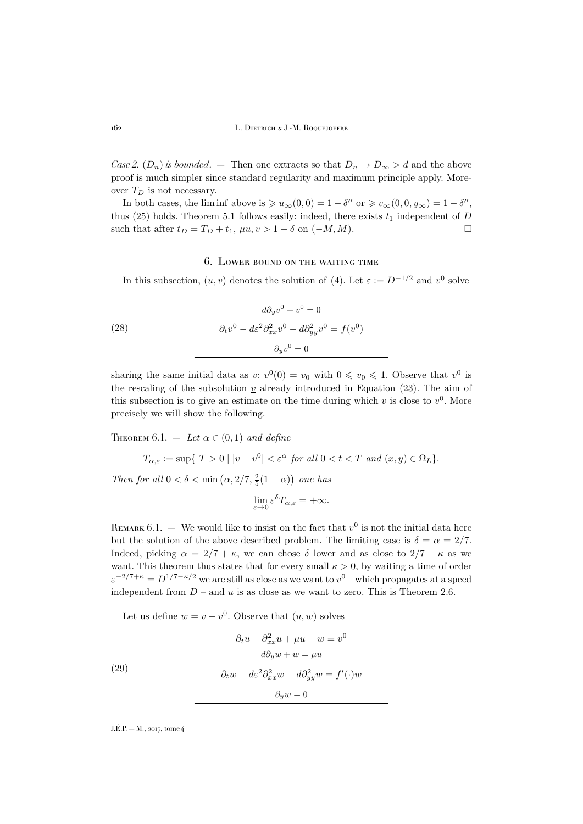*Case 2.*  $(D_n)$  *is bounded.* — Then one extracts so that  $D_n \to D_\infty > d$  and the above proof is much simpler since standard regularity and maximum principle apply. Moreover  $T_D$  is not necessary.

In both cases, the liminf above is  $\geqslant u_{\infty}(0,0) = 1 - \delta''$  or  $\geqslant v_{\infty}(0,0,y_{\infty}) = 1 - \delta''$ , thus [\(25\)](#page-20-0) holds. Theorem [5.1](#page-18-1) follows easily: indeed, there exists  $t_1$  independent of D such that after  $t_D = T_D + t_1$ ,  $\mu u, v > 1 - \delta$  on  $(-M, M)$ .

## 6. Lower bound on the waiting time

<span id="page-22-0"></span>In this subsection,  $(u, v)$  denotes the solution of [\(4\)](#page-5-2). Let  $\varepsilon := D^{-1/2}$  and  $v^0$  solve

(28) 
$$
d\partial_y v^0 + v^0 = 0
$$

$$
\partial_t v^0 - d\varepsilon^2 \partial_{xx}^2 v^0 - d\partial_{yy}^2 v^0 = f(v^0)
$$

$$
\partial_y v^0 = 0
$$

sharing the same initial data as  $v: v^0(0) = v_0$  with  $0 \le v_0 \le 1$ . Observe that  $v^0$  is the rescaling of the subsolution  $\underline{v}$  already introduced in Equation [\(23\)](#page-19-0). The aim of this subsection is to give an estimate on the time during which  $v$  is close to  $v^0$ . More precisely we will show the following.

<span id="page-22-2"></span>THEOREM  $6.1.$  – Let  $\alpha \in (0,1)$  and define

$$
T_{\alpha,\varepsilon} := \sup \{ T > 0 \mid |v - v^0| < \varepsilon^{\alpha} \text{ for all } 0 < t < T \text{ and } (x, y) \in \Omega_L \}.
$$

*Then for all*  $0 < \delta < \min(\alpha, 2/7, \frac{2}{5}(1-\alpha))$  *one has* 

$$
\lim_{\varepsilon\to 0}\varepsilon^\delta T_{\alpha,\varepsilon}=+\infty.
$$

REMARK 6.1. – We would like to insist on the fact that  $v^0$  is not the initial data here but the solution of the above described problem. The limiting case is  $\delta = \alpha = 2/7$ . Indeed, picking  $\alpha = 2/7 + \kappa$ , we can chose  $\delta$  lower and as close to  $2/7 - \kappa$  as we want. This theorem thus states that for every small  $\kappa > 0$ , by waiting a time of order  $\varepsilon^{-2/7+\kappa} = D^{1/7-\kappa/2}$  we are still as close as we want to  $v^0$  – which propagates at a speed independent from  $D$  – and  $u$  is as close as we want to zero. This is Theorem [2.6.](#page-7-3)

<span id="page-22-1"></span>Let us define  $w = v - v^0$ . Observe that  $(u, w)$  solves

(29)  
\n
$$
\frac{\partial_t u - \partial_{xx}^2 u + \mu u - w = v^0}{d\partial_y w + w = \mu u}
$$
\n
$$
\partial_t w - d\varepsilon^2 \partial_{xx}^2 w - d\partial_{yy}^2 w = f'(\cdot)w
$$
\n
$$
\partial_y w = 0
$$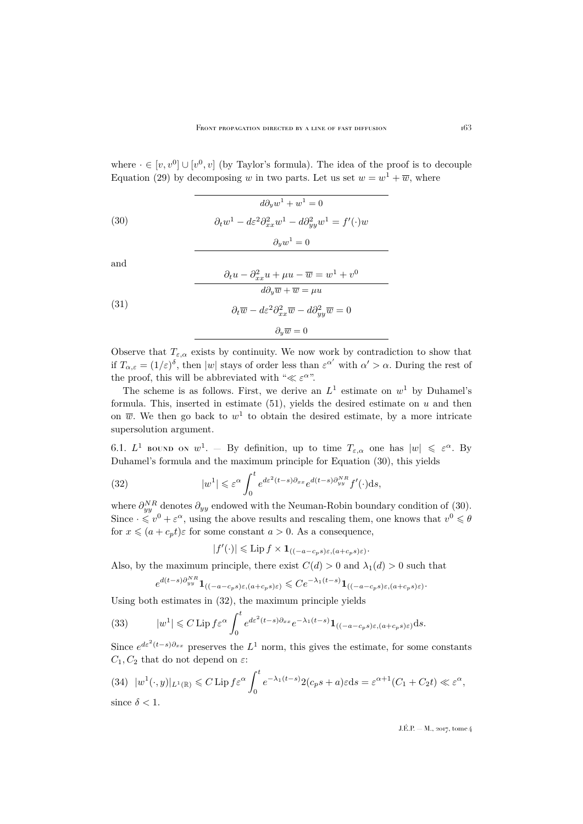where  $\cdot \in [v, v^0] \cup [v^0, v]$  (by Taylor's formula). The idea of the proof is to decouple Equation [\(29\)](#page-22-1) by decomposing w in two parts. Let us set  $w = w^1 + \overline{w}$ , where

<span id="page-23-0"></span>(30) 
$$
d\partial_y w^1 + w^1 = 0
$$

$$
\partial_t w^1 - d\varepsilon^2 \partial_{xx}^2 w^1 - d\partial_{yy}^2 w^1 = f'(\cdot)w
$$

$$
\partial_y w^1 = 0
$$

and

<span id="page-23-3"></span>(31)  
\n
$$
\frac{\partial_t u - \partial_{xx}^2 u + \mu u - \overline{w} = w^1 + v^0}{d\partial_y \overline{w} + \overline{w} = \mu u}
$$
\n
$$
\frac{\partial_t \overline{w} - d\varepsilon^2 \partial_{xx}^2 \overline{w} - d\partial_{yy}^2 \overline{w} = 0}{\partial_y \overline{w} = 0}
$$

Observe that  $T_{\varepsilon,\alpha}$  exists by continuity. We now work by contradiction to show that if  $T_{\alpha,\varepsilon} = (1/\varepsilon)^{\delta}$ , then  $|w|$  stays of order less than  $\varepsilon^{\alpha'}$  with  $\alpha' > \alpha$ . During the rest of the proof, this will be abbreviated with " $\ll \varepsilon^{\alpha}$ ".

The scheme is as follows. First, we derive an  $L^1$  estimate on  $w^1$  by Duhamel's formula. This, inserted in estimate [\(51\)](#page-32-1), yields the desired estimate on  $u$  and then on  $\overline{w}$ . We then go back to  $w^1$  to obtain the desired estimate, by a more intricate supersolution argument.

6.1.  $L^1$  bound on  $w^1$ . – By definition, up to time  $T_{\varepsilon,\alpha}$  one has  $|w| \leq \varepsilon^{\alpha}$ . By Duhamel's formula and the maximum principle for Equation [\(30\)](#page-23-0), this yields

(32) 
$$
|w^1| \leq \varepsilon^{\alpha} \int_0^t e^{d\varepsilon^2 (t-s) \partial_{xx}} e^{d(t-s) \partial_{yy}^{NR}} f'(\cdot) ds,
$$

where  $\partial_{yy}^{NR}$  denotes  $\partial_{yy}$  endowed with the Neuman-Robin boundary condition of [\(30\)](#page-23-0). Since  $\cdot \leq v^0 + \varepsilon^{\alpha}$ , using the above results and rescaling them, one knows that  $v^0 \leq \theta$ for  $x \leqslant (a + c_p t)\varepsilon$  for some constant  $a > 0$ . As a consequence,

<span id="page-23-1"></span>
$$
|f'(\cdot)| \leqslant \text{Lip } f \times \mathbf{1}_{\left((-a-c_ps)\varepsilon,(a+c_ps)\varepsilon\right)}.
$$

Also, by the maximum principle, there exist  $C(d) > 0$  and  $\lambda_1(d) > 0$  such that

$$
e^{d(t-s)\partial_{yy}^{NR}}\mathbf{1}_{\left((-a-c_ps)\varepsilon,(a+c_ps)\varepsilon\right)} \leqslant Ce^{-\lambda_1(t-s)}\mathbf{1}_{\left((-a-c_ps)\varepsilon,(a+c_ps)\varepsilon\right)}.
$$

Using both estimates in [\(32\)](#page-23-1), the maximum principle yields

(33) 
$$
|w^1| \leq C \operatorname{Lip} f \varepsilon^{\alpha} \int_0^t e^{d\varepsilon^2 (t-s) \partial_{xx}} e^{-\lambda_1 (t-s)} \mathbf{1}_{((-a-c_p s)\varepsilon, (a+c_p s)\varepsilon)} ds.
$$

Since  $e^{d\varepsilon^2(t-s)\partial_{xx}}$  preserves the  $L^1$  norm, this gives the estimate, for some constants  $C_1, C_2$  that do not depend on  $\varepsilon$ :

<span id="page-23-2"></span>(34) 
$$
|w^1(\cdot, y)|_{L^1(\mathbb{R})} \leq C \operatorname{Lip} f \varepsilon^{\alpha} \int_0^t e^{-\lambda_1(t-s)} 2(c_p s + a) \varepsilon ds = \varepsilon^{\alpha+1} (C_1 + C_2 t) \ll \varepsilon^{\alpha},
$$
  
since  $\delta < 1$ .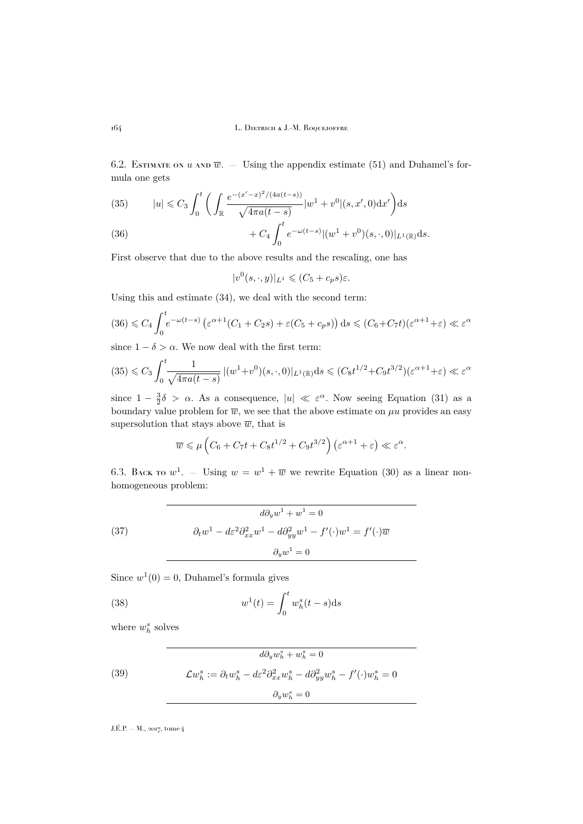6.2. ESTIMATE ON U AND  $\overline{w}$ . — Using the appendix estimate [\(51\)](#page-32-1) and Duhamel's formula one gets

<span id="page-24-1"></span>(35) 
$$
|u| \leq C_3 \int_0^t \bigg( \int_{\mathbb{R}} \frac{e^{-(x'-x)^2/(4a(t-s))}}{\sqrt{4\pi a(t-s)}} |w^1 + v^0|(s, x', 0) dx' \bigg) ds
$$

<span id="page-24-0"></span>(36) 
$$
+ C_4 \int_0^t e^{-\omega(t-s)} |(w^1 + v^0)(s, \cdot, 0)|_{L^1(\mathbb{R})} ds.
$$

First observe that due to the above results and the rescaling, one has

$$
|v^{0}(s,\cdot,y)|_{L^{1}} \leqslant (C_{5}+c_{p}s)\varepsilon.
$$

Using this and estimate [\(34\)](#page-23-2), we deal with the second term:

$$
(36) \leq C_4 \int_0^t e^{-\omega(t-s)} \left( \varepsilon^{\alpha+1} (C_1 + C_2 s) + \varepsilon (C_5 + c_p s) \right) ds \leq (C_6 + C_7 t)(\varepsilon^{\alpha+1} + \varepsilon) \ll \varepsilon^{\alpha}
$$

since  $1 - \delta > \alpha$ . We now deal with the first term:

$$
(35) \leq C_3 \int_0^t \frac{1}{\sqrt{4\pi a(t-s)}} \, |(w^1+v^0)(s,\cdot,0)|_{L^1(\mathbb{R})} \mathrm{d}s \leq (C_8 t^{1/2} + C_9 t^{3/2}) (\varepsilon^{\alpha+1} + \varepsilon) \ll \varepsilon^{\alpha}
$$

since  $1 - \frac{3}{2}\delta > \alpha$ . As a consequence,  $|u| \ll \varepsilon^{\alpha}$ . Now seeing Equation [\(31\)](#page-23-3) as a boundary value problem for  $\overline{w}$ , we see that the above estimate on  $\mu u$  provides an easy supersolution that stays above  $\overline{w}$ , that is

$$
\overline{w} \le \mu \left( C_6 + C_7 t + C_8 t^{1/2} + C_9 t^{3/2} \right) \left( \varepsilon^{\alpha+1} + \varepsilon \right) \ll \varepsilon^{\alpha}.
$$

6.3. BACK TO  $w^1$ . – Using  $w = w^1 + \overline{w}$  we rewrite Equation [\(30\)](#page-23-0) as a linear nonhomogeneous problem:

(37) 
$$
d\partial_y w^1 + w^1 = 0
$$

$$
\partial_t w^1 - d\varepsilon^2 \partial_{xx}^2 w^1 - d\partial_{yy}^2 w^1 - f'(\cdot) w^1 = f'(\cdot)\overline{w}
$$

$$
\partial_y w^1 = 0
$$

Since  $w^1(0) = 0$ , Duhamel's formula gives

<span id="page-24-2"></span>(38) 
$$
w^{1}(t) = \int_{0}^{t} w_{h}^{s}(t-s)ds
$$

where  $w_h^s$  solves

(39) 
$$
d\partial_y w_h^s + w_h^s = 0
$$

$$
\mathcal{L}w_h^s := \partial_t w_h^s - d\varepsilon^2 \partial_{xx}^2 w_h^s - d\partial_{yy}^2 w_h^s - f'(\cdot)w_h^s = 0
$$

$$
\partial_y w_h^s = 0
$$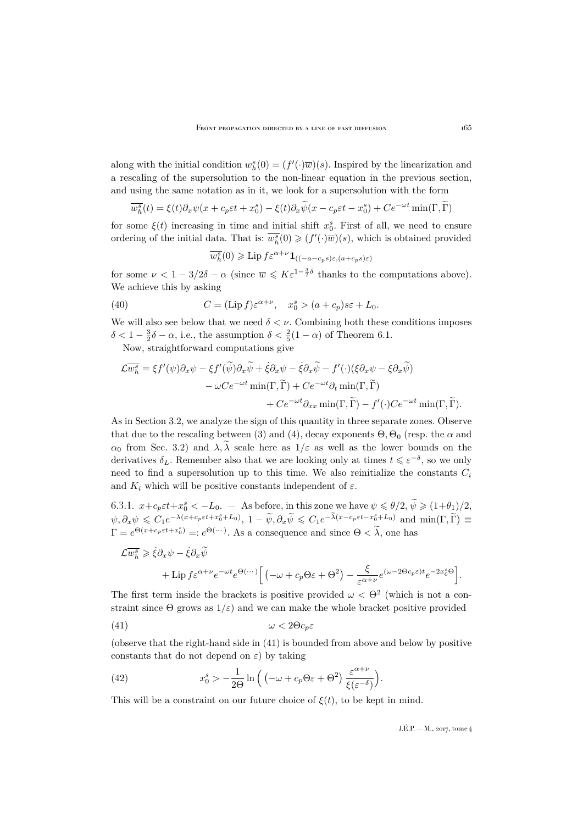along with the initial condition  $w_h^s(0) = (f'(\cdot)\overline{w})(s)$ . Inspired by the linearization and a rescaling of the supersolution to the non-linear equation in the previous section, and using the same notation as in it, we look for a supersolution with the form

$$
\overline{w_h^s}(t) = \xi(t)\partial_x\psi(x + c_p\varepsilon t + x_0^s) - \xi(t)\partial_x\widetilde{\psi}(x - c_p\varepsilon t - x_0^s) + Ce^{-\omega t}\min(\Gamma, \widetilde{\Gamma})
$$

for some  $\xi(t)$  increasing in time and initial shift  $x_0^s$ . First of all, we need to ensure ordering of the initial data. That is:  $\overline{w_h^s}(0) \geqslant (f'(\cdot)\overline{w})(s)$ , which is obtained provided

<span id="page-25-2"></span>
$$
\overline{w_h^s}(0) \geqslant \text{Lip}\, f \varepsilon^{\alpha+\nu} \mathbf{1}_{\left((-a-c_ps)\varepsilon, (a+c_ps)\varepsilon\right)}
$$

for some  $\nu < 1 - 3/2\delta - \alpha$  (since  $\overline{w} \leqslant K \varepsilon^{1-\frac{3}{2}\delta}$  thanks to the computations above). We achieve this by asking

(40) 
$$
C = (\text{Lip } f) \varepsilon^{\alpha + \nu}, \quad x_0^s > (a + c_p) s \varepsilon + L_0.
$$

We will also see below that we need  $\delta < \nu$ . Combining both these conditions imposes  $\delta < 1 - \frac{3}{2}\delta - \alpha$ , i.e., the assumption  $\delta < \frac{2}{5}(1 - \alpha)$  of Theorem [6.1.](#page-22-2)

Now, straightforward computations give

$$
\mathcal{L}\overline{w_h^s} = \xi f'(\psi)\partial_x\psi - \xi f'(\widetilde{\psi})\partial_x\widetilde{\psi} + \dot{\xi}\partial_x\psi - \dot{\xi}\partial_x\widetilde{\psi} - f'(\cdot)(\xi\partial_x\psi - \xi\partial_x\widetilde{\psi})
$$
  

$$
- \omega Ce^{-\omega t} \min(\Gamma, \widetilde{\Gamma}) + Ce^{-\omega t}\partial_t \min(\Gamma, \widetilde{\Gamma})
$$
  

$$
+ Ce^{-\omega t}\partial_{xx} \min(\Gamma, \widetilde{\Gamma}) - f'(\cdot)Ce^{-\omega t} \min(\Gamma, \widetilde{\Gamma}).
$$

As in Section [3.2,](#page-11-2) we analyze the sign of this quantity in three separate zones. Observe that due to the rescaling between [\(3\)](#page-5-1) and [\(4\)](#page-5-2), decay exponents  $\Theta$ ,  $\Theta_0$  (resp. the  $\alpha$  and  $\alpha_0$  from Sec. [3.2\)](#page-11-2) and  $\lambda$ ,  $\tilde{\lambda}$  scale here as  $1/\varepsilon$  as well as the lower bounds on the derivatives  $\delta_L$ . Remember also that we are looking only at times  $t \leq \varepsilon^{-\delta}$ , so we only need to find a supersolution up to this time. We also reinitialize the constants  $C_i$ and  $K_i$  which will be positive constants independent of  $\varepsilon$ .

6.3.1.  $x + c_p \varepsilon t + x_0^s < -L_0$ . As before, in this zone we have  $\psi \le \theta/2$ ,  $\widetilde{\psi} \ge (1+\theta_1)/2$ ,  $\psi, \partial_x \psi \leqslant C_1 e^{-\lambda(x + c_p \varepsilon t + x_0^s + L_0)}, \ 1 - \widetilde{\psi}, \partial_x \widetilde{\psi} \leqslant C_1 e^{-\widetilde{\lambda}(x - c_p \varepsilon t - x_0^s + L_0)} \text{ and } \min(\Gamma, \widetilde{\Gamma}) \equiv$  $\Gamma = e^{\Theta(x + c_p \varepsilon t + x_0^s)} =: e^{\Theta(\cdots)}$ . As a consequence and since  $\Theta < \tilde{\lambda}$ , one has

$$
\mathcal{L}\overline{w_h^s} \ge \dot{\xi}\partial_x\psi - \dot{\xi}\partial_x\widetilde{\psi}
$$
  
+ Lip  $f\varepsilon^{\alpha+\nu}e^{-\omega t}e^{\Theta(\cdots)}\Big[\left(-\omega + c_p\Theta\varepsilon + \Theta^2\right) - \frac{\xi}{\varepsilon^{\alpha+\nu}}e^{(\omega-2\Theta c_p\varepsilon)t}e^{-2x_0^s\Theta}\Big].$ 

The first term inside the brackets is positive provided  $\omega < \Theta^2$  (which is not a constraint since  $\Theta$  grows as  $1/\varepsilon$ ) and we can make the whole bracket positive provided

<span id="page-25-0"></span>
$$
(41)\t\t\t\t\omega<2\Theta c_p\varepsilon
$$

(observe that the right-hand side in [\(41\)](#page-25-0) is bounded from above and below by positive constants that do not depend on  $\varepsilon$ ) by taking

<span id="page-25-1"></span>(42) 
$$
x_0^s > -\frac{1}{2\Theta} \ln \left( \left( -\omega + c_p \Theta \varepsilon + \Theta^2 \right) \frac{\varepsilon^{\alpha+\nu}}{\xi(\varepsilon^{-\delta})} \right).
$$

This will be a constraint on our future choice of  $\xi(t)$ , to be kept in mind.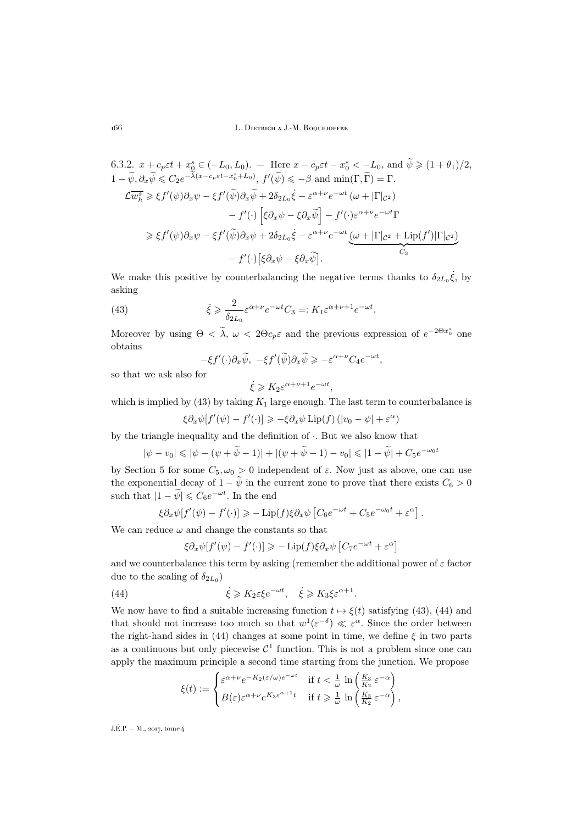6.3.2. 
$$
x + c_p \varepsilon t + x_0^8 \in (-L_0, L_0)
$$
. - Here  $x - c_p \varepsilon t - x_0^8 < -L_0$ , and  $\tilde{\psi} \ge (1 + \theta_1)/2$ ,  
\n $1 - \tilde{\psi}, \partial_x \tilde{\psi} \le C_2 e^{-\tilde{\lambda}(x - c_p \varepsilon t - x_0^8 + L_0)}, f'(\tilde{\psi}) \le -\beta$  and  $\min(\Gamma, \tilde{\Gamma}) = \Gamma$ .  
\n $\mathcal{L} \overline{w_h^s} \ge \xi f'(\psi) \partial_x \psi - \xi f'(\tilde{\psi}) \partial_x \tilde{\psi} + 2 \delta_{2L_0} \dot{\xi} - \varepsilon^{\alpha + \nu} e^{-\omega t} (\omega + |\Gamma|_{\mathcal{C}^2})$   
\n $- f'(\cdot) \left[ \xi \partial_x \psi - \xi \partial_x \tilde{\psi} \right] - f'(\cdot) \varepsilon^{\alpha + \nu} e^{-\omega t} \Gamma$   
\n $\ge \xi f'(\psi) \partial_x \psi - \xi f'(\tilde{\psi}) \partial_x \psi + 2 \delta_{2L_0} \dot{\xi} - \varepsilon^{\alpha + \nu} e^{-\omega t} \underbrace{(\omega + |\Gamma|_{\mathcal{C}^2} + \text{Lip}(f')|\Gamma|_{\mathcal{C}^2})}_{C_3}$   
\n $- f'(\cdot) \left[ \xi \partial_x \psi - \xi \partial_x \tilde{\psi} \right].$ 

We make this positive by counterbalancing the negative terms thanks to  $\delta_{2L_0}\dot{\xi}$ , by asking

(43) 
$$
\dot{\xi} \geqslant \frac{2}{\delta_{2L_0}} \varepsilon^{\alpha+\nu} e^{-\omega t} C_3 =: K_1 \varepsilon^{\alpha+\nu+1} e^{-\omega t}.
$$

Moreover by using  $\Theta < \tilde{\lambda}$ ,  $\omega < 2\Theta c_p \varepsilon$  and the previous expression of  $e^{-2\Theta x_0^s}$  one obtains

<span id="page-26-0"></span>
$$
-\xi f'(\cdot)\partial_x \widetilde{\psi}, \ -\xi f'(\widetilde{\psi})\partial_x \widetilde{\psi} \ge -\varepsilon^{\alpha+\nu}C_4 e^{-\omega t},
$$

so that we ask also for

$$
\dot{\xi} \geqslant K_2 \varepsilon^{\alpha+\nu+1} e^{-\omega t},
$$

which is implied by [\(43\)](#page-26-0) by taking  $K_1$  large enough. The last term to counterbalance is

 $\xi \partial_x \psi[f'(\psi) - f'(\cdot)] \geqslant -\xi \partial_x \psi \operatorname{Lip}(f) \left( |v_0 - \psi| + \varepsilon^{\alpha} \right)$ 

by the triangle inequality and the definition of  $\cdot$ . But we also know that

$$
|\psi - v_0| \le |\psi - (\psi + \widetilde{\psi} - 1)| + |(\psi + \widetilde{\psi} - 1) - v_0| \le |1 - \widetilde{\psi}| + C_5 e^{-\omega_0 t}
$$

by Section [5](#page-18-0) for some  $C_5, \omega_0 > 0$  independent of  $\varepsilon$ . Now just as above, one can use the exponential decay of  $1 - \tilde{\psi}$  in the current zone to prove that there exists  $C_6 > 0$ such that  $|1 - \widetilde{\psi}| \leqslant C_6 e^{-\omega t}$ . In the end

$$
\xi \partial_x \psi[f'(\psi) - f'(\cdot)] \geq -\text{Lip}(f)\xi \partial_x \psi \left[ C_6 e^{-\omega t} + C_5 e^{-\omega_0 t} + \varepsilon^{\alpha} \right].
$$

We can reduce  $\omega$  and change the constants so that

<span id="page-26-1"></span>
$$
\xi \partial_x \psi[f'(\psi) - f'(\cdot)] \ge -\text{Lip}(f)\xi \partial_x \psi \left[C_7 e^{-\omega t} + \varepsilon^{\alpha}\right]
$$

and we counterbalance this term by asking (remember the additional power of  $\varepsilon$  factor due to the scaling of  $\delta_{2L_0}$ )

(44) 
$$
\dot{\xi} \geqslant K_2 \varepsilon \xi e^{-\omega t}, \quad \dot{\xi} \geqslant K_3 \xi \varepsilon^{\alpha+1}.
$$

We now have to find a suitable increasing function  $t \mapsto \xi(t)$  satisfying [\(43\)](#page-26-0), [\(44\)](#page-26-1) and that should not increase too much so that  $w^1(\varepsilon^{-\delta}) \ll \varepsilon^{\alpha}$ . Since the order between the right-hand sides in [\(44\)](#page-26-1) changes at some point in time, we define  $\xi$  in two parts as a continuous but only piecewise  $\mathcal{C}^1$  function. This is not a problem since one can apply the maximum principle a second time starting from the junction. We propose

$$
\xi(t) := \begin{cases} \varepsilon^{\alpha + \nu} e^{-K_2(\varepsilon/\omega)e^{-\omega t}} & \text{if } t < \frac{1}{\omega} \ln\left(\frac{K_3}{K_2} \varepsilon^{-\alpha}\right) \\ B(\varepsilon) \varepsilon^{\alpha + \nu} e^{K_3 \varepsilon^{\alpha + 1} t} & \text{if } t \geqslant \frac{1}{\omega} \ln\left(\frac{K_3}{K_2} \varepsilon^{-\alpha}\right), \end{cases}
$$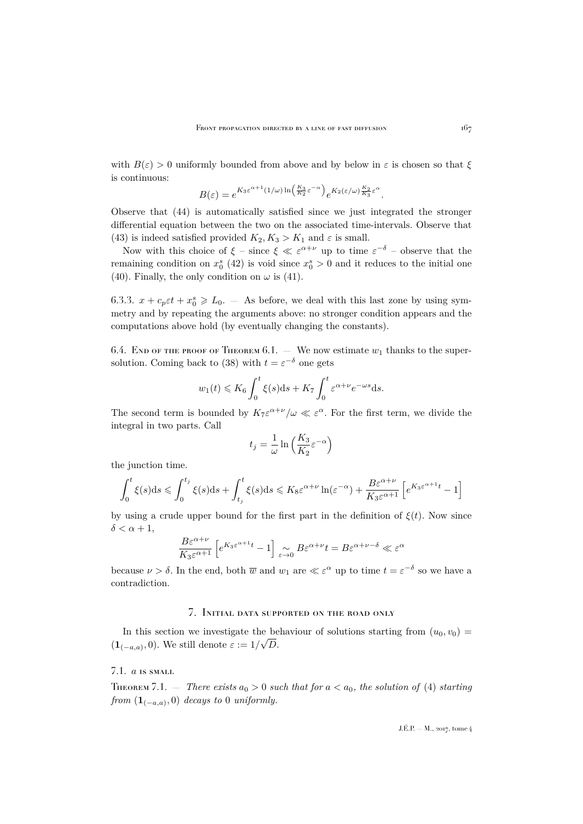with  $B(\varepsilon) > 0$  uniformly bounded from above and by below in  $\varepsilon$  is chosen so that  $\xi$ is continuous:

$$
B(\varepsilon) = e^{K_3 \varepsilon^{\alpha+1} (1/\omega) \ln \left(\frac{K_3}{K_2} \varepsilon^{-\alpha}\right)} e^{K_2(\varepsilon/\omega) \frac{K_2}{K_3} \varepsilon^{\alpha}}.
$$

Observe that [\(44\)](#page-26-1) is automatically satisfied since we just integrated the stronger differential equation between the two on the associated time-intervals. Observe that [\(43\)](#page-26-0) is indeed satisfied provided  $K_2, K_3 > K_1$  and  $\varepsilon$  is small.

Now with this choice of  $\xi$  – since  $\xi \ll \varepsilon^{\alpha+\nu}$  up to time  $\varepsilon^{-\delta}$  – observe that the remaining condition on  $x_0^s$  [\(42\)](#page-25-1) is void since  $x_0^s > 0$  and it reduces to the initial one [\(40\)](#page-25-2). Finally, the only condition on  $\omega$  is [\(41\)](#page-25-0).

6.3.3.  $x + c_p \varepsilon t + x_0^s \geq L_0$ . – As before, we deal with this last zone by using symmetry and by repeating the arguments above: no stronger condition appears and the computations above hold (by eventually changing the constants).

6.4. END OF THE PROOF OF THEOREM [6.1.](#page-22-2) — We now estimate  $w_1$  thanks to the super-solution. Coming back to [\(38\)](#page-24-2) with  $t = \varepsilon^{-\delta}$  one gets

$$
w_1(t) \leq K_6 \int_0^t \xi(s)ds + K_7 \int_0^t \varepsilon^{\alpha+\nu} e^{-\omega s} ds.
$$

The second term is bounded by  $K_7\varepsilon^{\alpha+\nu}/\omega \ll \varepsilon^{\alpha}$ . For the first term, we divide the integral in two parts. Call

$$
t_j = \frac{1}{\omega} \ln \left( \frac{K_3}{K_2} \varepsilon^{-\alpha} \right)
$$

the junction time.

$$
\int_0^t \xi(s)ds \leqslant \int_0^{t_j} \xi(s)ds + \int_{t_j}^t \xi(s)ds \leqslant K_8 \varepsilon^{\alpha+\nu} \ln(\varepsilon^{-\alpha}) + \frac{B\varepsilon^{\alpha+\nu}}{K_3 \varepsilon^{\alpha+1}} \left[ e^{K_3 \varepsilon^{\alpha+1} t} - 1 \right]
$$

by using a crude upper bound for the first part in the definition of  $\xi(t)$ . Now since  $\delta < \alpha + 1$ ,

$$
\frac{B\varepsilon^{\alpha+\nu}}{K_3\varepsilon^{\alpha+1}}\left[e^{K_3\varepsilon^{\alpha+1}t}-1\right]\underset{\varepsilon\rightarrow 0}{\sim}B\varepsilon^{\alpha+\nu}t=B\varepsilon^{\alpha+\nu-\delta}\ll \varepsilon^\alpha
$$

because  $\nu > \delta$ . In the end, both  $\overline{w}$  and  $w_1$  are  $\ll \varepsilon^{\alpha}$  up to time  $t = \varepsilon^{-\delta}$  so we have a contradiction.

#### 7. Initial data supported on the road only

<span id="page-27-0"></span>In this section we investigate the behaviour of solutions starting from  $(u_0, v_0) =$  $(1_{(-a,a)}, 0)$ . We still denote  $\varepsilon := 1/\sqrt{D}$ .

## 7.1. a is small

<span id="page-27-1"></span>THEOREM 7.1. – *There exists*  $a_0 > 0$  *such that for*  $a < a_0$ *, the solution of* [\(4\)](#page-5-2) *starting*  $from \left( \mathbf{1}_{(-a,a)}, 0 \right)$  *decays to* 0 *uniformly.*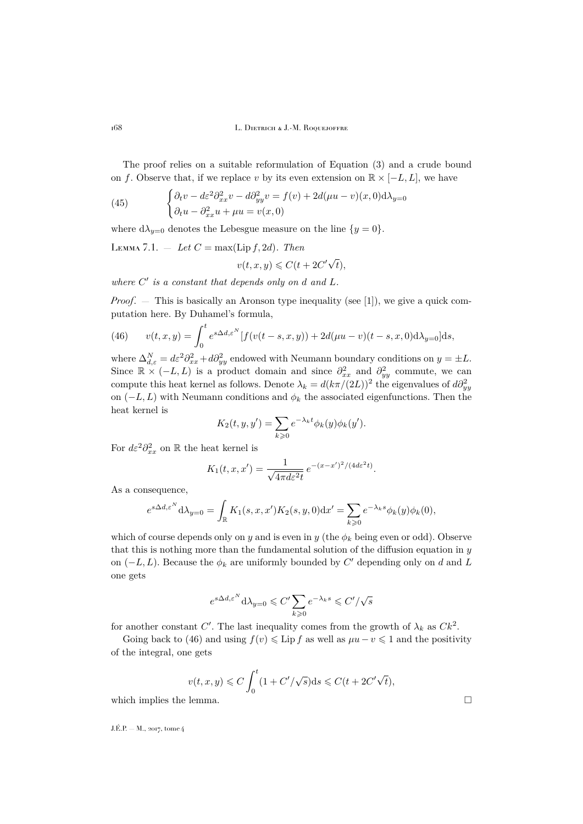The proof relies on a suitable reformulation of Equation [\(3\)](#page-5-1) and a crude bound on f. Observe that, if we replace v by its even extension on  $\mathbb{R} \times [-L, L]$ , we have

(45) 
$$
\begin{cases} \partial_t v - d\varepsilon^2 \partial_{xx}^2 v - d\partial_{yy}^2 v = f(v) + 2d(\mu u - v)(x, 0) d\lambda_{y=0} \\ \partial_t u - \partial_{xx}^2 u + \mu u = v(x, 0) \end{cases}
$$

where  $d\lambda_{y=0}$  denotes the Lebesgue measure on the line  $\{y=0\}$ .

<span id="page-28-1"></span>LEMMA 7.1. – Let 
$$
C = max(Lip f, 2d)
$$
. Then  

$$
v(t, x, y) \leq C(t + 2C' \sqrt{2c}).
$$

where  $C'$  is a constant that depends only on d and L.

*Proof.* — This is basically an Aronson type inequality (see [\[1\]](#page-35-24)), we give a quick computation here. By Duhamel's formula,

 $(t),$ 

<span id="page-28-0"></span>(46) 
$$
v(t, x, y) = \int_0^t e^{s\Delta d, \varepsilon^N} [f(v(t-s, x, y)) + 2d(\mu u - v)(t-s, x, 0)d\lambda_{y=0}] ds,
$$

where  $\Delta_{d,\varepsilon}^N = d\varepsilon^2 \partial_{xx}^2 + d\partial_{yy}^2$  endowed with Neumann boundary conditions on  $y = \pm L$ . Since  $\mathbb{R} \times (-L,L)$  is a product domain and since  $\partial_{xx}^2$  and  $\partial_{yy}^2$  commute, we can compute this heat kernel as follows. Denote  $\lambda_k = d(k\pi/(2L))^2$  the eigenvalues of  $d\partial_{yy}^2$ on  $(-L, L)$  with Neumann conditions and  $\phi_k$  the associated eigenfunctions. Then the heat kernel is

$$
K_2(t, y, y') = \sum_{k \geqslant 0} e^{-\lambda_k t} \phi_k(y) \phi_k(y').
$$

For  $d\varepsilon^2 \partial_{xx}^2$  on R the heat kernel is

$$
K_1(t, x, x') = \frac{1}{\sqrt{4\pi d\varepsilon^2 t}} e^{-(x-x')^2/(4d\varepsilon^2 t)}.
$$

As a consequence,

$$
e^{s\Delta d,\varepsilon^N} \mathrm{d}\lambda_{y=0} = \int_{\mathbb{R}} K_1(s,x,x') K_2(s,y,0) \mathrm{d}x' = \sum_{k \geqslant 0} e^{-\lambda_k s} \phi_k(y) \phi_k(0),
$$

which of course depends only on y and is even in y (the  $\phi_k$  being even or odd). Observe that this is nothing more than the fundamental solution of the diffusion equation in  $y$ on  $(-L, L)$ . Because the  $\phi_k$  are uniformly bounded by C' depending only on d and L one gets

$$
e^{s\Delta d, \varepsilon^N} \mathrm{d}\lambda_{y=0} \leqslant C' \sum_{k\geqslant 0} e^{-\lambda_k s} \leqslant C'/\sqrt{s}
$$

for another constant C'. The last inequality comes from the growth of  $\lambda_k$  as  $Ck^2$ .

Going back to [\(46\)](#page-28-0) and using  $f(v) \leq \text{Lip } f$  as well as  $\mu u - v \leq 1$  and the positivity of the integral, one gets

$$
v(t, x, y) \leq C \int_0^t (1 + C'/\sqrt{s}) ds \leq C(t + 2C'\sqrt{t}),
$$

which implies the lemma.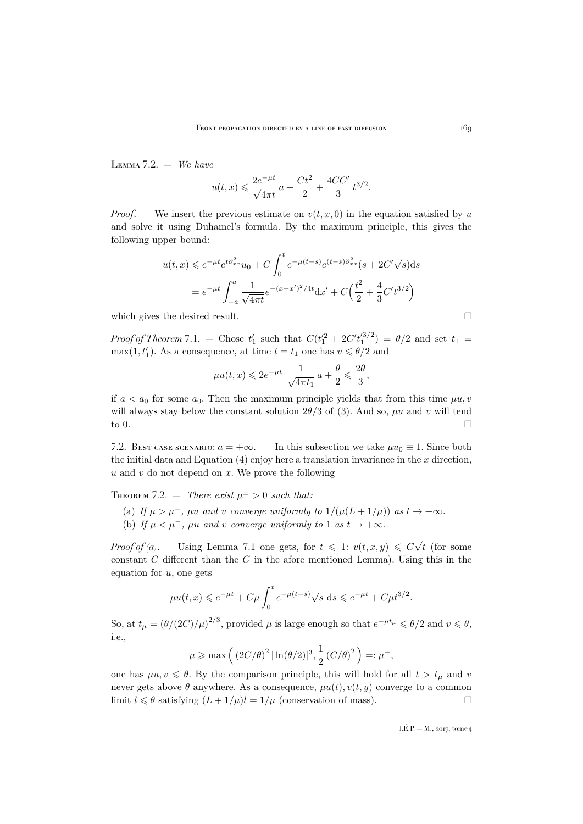Lemma 7.2. — *We have*

$$
u(t,x) \leq \frac{2e^{-\mu t}}{\sqrt{4\pi t}} a + \frac{Ct^2}{2} + \frac{4CC'}{3} t^{3/2}.
$$

*Proof.* — We insert the previous estimate on  $v(t, x, 0)$  in the equation satisfied by u and solve it using Duhamel's formula. By the maximum principle, this gives the following upper bound:

$$
u(t,x) \leq e^{-\mu t} e^{t\partial_{xx}^2} u_0 + C \int_0^t e^{-\mu(t-s)} e^{(t-s)\partial_{xx}^2} (s + 2C'\sqrt{s}) ds
$$
  
=  $e^{-\mu t} \int_{-a}^a \frac{1}{\sqrt{4\pi t}} e^{-(x-x')^2/4t} dx' + C\left(\frac{t^2}{2} + \frac{4}{3}C't^{3/2}\right)$ 

which gives the desired result.  $\Box$ 

*Proof of Theorem* [7.1.](#page-27-1) – Chose  $t_1'$  such that  $C(t_1'^2 + 2C't_1'^{3/2}) = \theta/2$  and set  $t_1 =$ max $(1, t'_1)$ . As a consequence, at time  $t = t_1$  one has  $v \le \theta/2$  and

$$
\mu u(t,x)\leqslant 2e^{-\mu t_1}\frac{1}{\sqrt{4\pi t_1}}\,a+\frac{\theta}{2}\leqslant \frac{2\theta}{3},
$$

if  $a < a_0$  for some  $a_0$ . Then the maximum principle yields that from this time  $\mu u, v$ will always stay below the constant solution  $2\theta/3$  of [\(3\)](#page-5-1). And so,  $\mu u$  and v will tend to  $0.$ 

7.2. Best case scenario:  $a = +\infty$ . — In this subsection we take  $\mu u_0 \equiv 1$ . Since both the initial data and Equation  $(4)$  enjoy here a translation invariance in the x direction,  $u$  and  $v$  do not depend on  $x$ . We prove the following

<span id="page-29-0"></span> $T_{\text{HEOREM}}$  7.2.  $-$  *There exist*  $\mu^{\pm} > 0$  *such that:* 

- (a) If  $\mu > \mu^+$ ,  $\mu u$  and v converge uniformly to  $1/(\mu(L+1/\mu))$  as  $t \to +\infty$ .
- (b) If  $\mu < \mu^-$ ,  $\mu u$  and v converge uniformly to 1 as  $t \to +\infty$ .

*Proof of (a).* – Using Lemma [7.1](#page-28-1) one gets, for  $t \leq 1$ :  $v(t, x, y) \leq C\sqrt{2}$ t (for some constant  $C$  different than the  $C$  in the afore mentioned Lemma). Using this in the equation for  $u$ , one gets

$$
\mu u(t, x) \le e^{-\mu t} + C\mu \int_0^t e^{-\mu(t-s)} \sqrt{s} ds \le e^{-\mu t} + C\mu t^{3/2}.
$$

So, at  $t_\mu = (\theta/(2C)/\mu)^{2/3}$ , provided  $\mu$  is large enough so that  $e^{-\mu t_\mu} \leq \theta/2$  and  $v \leq \theta$ , i.e.,

$$
\mu \geqslant \max \Big(\left(2C/\theta\right)^2 |\ln(\theta/2)|^3, \frac{1}{2}\left(C/\theta\right)^2\Big)=:\mu^+,
$$

one has  $\mu u, v \le \theta$ . By the comparison principle, this will hold for all  $t > t_{\mu}$  and v never gets above  $\theta$  anywhere. As a consequence,  $\mu u(t)$ ,  $v(t, y)$  converge to a common limit  $l \leq \theta$  satisfying  $(L + 1/\mu)l = 1/\mu$  (conservation of mass).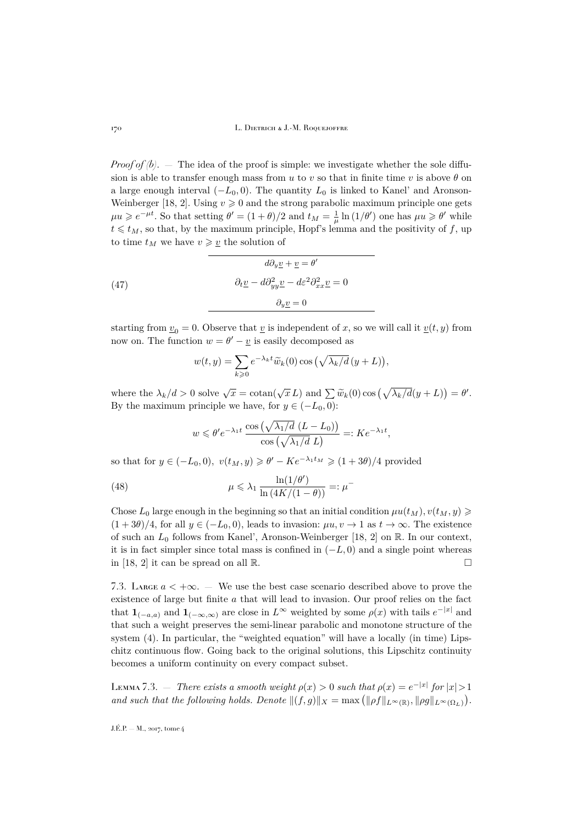*Proof of*  $(b)$ *.* — The idea of the proof is simple: we investigate whether the sole diffusion is able to transfer enough mass from u to v so that in finite time v is above  $\theta$  on a large enough interval  $(-L_0, 0)$ . The quantity  $L_0$  is linked to Kanel' and Aronson-Weinberger [\[18,](#page-35-11) [2\]](#page-35-7). Using  $v \ge 0$  and the strong parabolic maximum principle one gets  $\mu u \geqslant e^{-\mu t}$ . So that setting  $\theta' = (1+\theta)/2$  and  $t_M = \frac{1}{\mu} \ln(1/\theta')$  one has  $\mu u \geqslant \theta'$  while  $t \leq t_M$ , so that, by the maximum principle, Hopf's lemma and the positivity of f, up to time  $t_M$  we have  $v \geq v$  the solution of

(47) 
$$
d\partial_y \underline{v} + \underline{v} = \theta'
$$

$$
\partial_t \underline{v} - d\partial_{yy}^2 \underline{v} - d\varepsilon^2 \partial_{xx}^2 \underline{v} = 0
$$

$$
\partial_y \underline{v} = 0
$$

starting from  $\underline{v}_0 = 0$ . Observe that  $\underline{v}$  is independent of x, so we will call it  $\underline{v}(t, y)$  from now on. The function  $w = \theta' - \underline{v}$  is easily decomposed as

$$
w(t,y) = \sum_{k\geqslant 0} e^{-\lambda_k t} \widetilde{w}_k(0) \cos \left(\sqrt{\lambda_k/d} \left(y+L\right)\right),\,
$$

where the  $\lambda_k/d > 0$  solve  $\sqrt{x} = \cotan(\sqrt{x} L)$  and  $\sum \widetilde{w}_k(0) \cos(\sqrt{\lambda_k/d}(y+L)) = \theta'.$ By the maximum principle we have, for  $y \in (-L_0, 0)$ :

$$
w \leqslant \theta' e^{-\lambda_1 t} \frac{\cos\left(\sqrt{\lambda_1/d} \ (L - L_0)\right)}{\cos\left(\sqrt{\lambda_1/d} \ L\right)} =: K e^{-\lambda_1 t},
$$

so that for  $y \in (-L_0, 0)$ ,  $v(t_M, y) \ge \theta' - Ke^{-\lambda_1 t_M} \ge (1 + 3\theta)/4$  provided

(48) 
$$
\mu \leq \lambda_1 \frac{\ln(1/\theta')}{\ln(4K/(1-\theta))} =: \mu^-
$$

Chose  $L_0$  large enough in the beginning so that an initial condition  $\mu u(t_M)$ ,  $v(t_M, y) \geq$  $(1+3\theta)/4$ , for all  $y \in (-L_0,0)$ , leads to invasion:  $\mu u, v \to 1$  as  $t \to \infty$ . The existence of such an  $L_0$  follows from Kanel', Aronson-Weinberger [\[18,](#page-35-11) [2\]](#page-35-7) on R. In our context, it is in fact simpler since total mass is confined in  $(-L, 0)$  and a single point whereas in [\[18,](#page-35-11) [2\]](#page-35-7) it can be spread on all  $\mathbb{R}$ .

7.3. LARGE  $a < +\infty$ . — We use the best case scenario described above to prove the existence of large but finite a that will lead to invasion. Our proof relies on the fact that  $\mathbf{1}_{(-a,a)}$  and  $\mathbf{1}_{(-\infty,\infty)}$  are close in  $L^{\infty}$  weighted by some  $\rho(x)$  with tails  $e^{-|x|}$  and that such a weight preserves the semi-linear parabolic and monotone structure of the system [\(4\)](#page-5-2). In particular, the "weighted equation" will have a locally (in time) Lipschitz continuous flow. Going back to the original solutions, this Lipschitz continuity becomes a uniform continuity on every compact subset.

<span id="page-30-0"></span>LEMMA 7.3. — *There exists a smooth weight*  $\rho(x) > 0$  *such that*  $\rho(x) = e^{-|x|}$  for  $|x| > 1$ *and such that the following holds. Denote*  $||(f,g)||_X = \max (||\rho f||_{L^{\infty}(\mathbb{R})}, ||\rho g||_{L^{\infty}(\Omega_L)}).$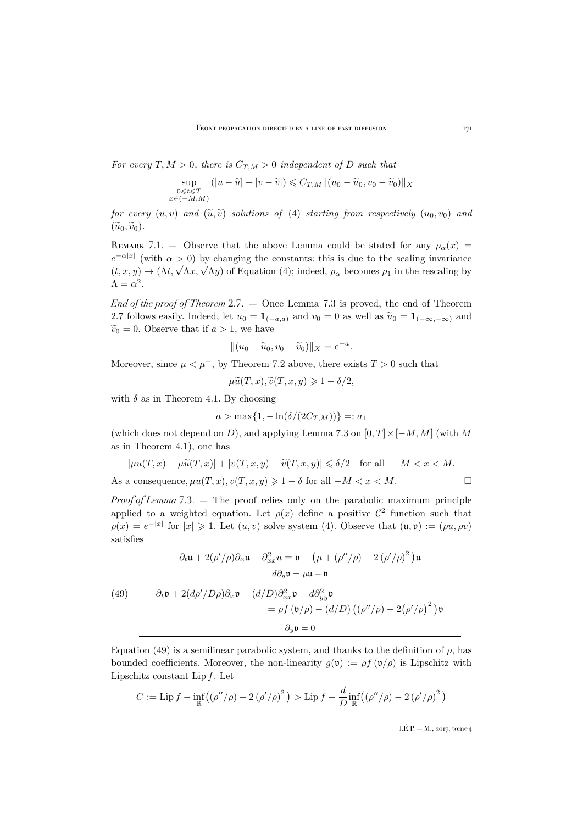*For every*  $T, M > 0$ *, there is*  $C_{T,M} > 0$  *independent of* D *such that* 

$$
\sup_{\substack{0 \le t \le T \\ x \in (-M,M)}} (|u - \widetilde{u}| + |v - \widetilde{v}|) \le C_{T,M} ||(u_0 - \widetilde{u}_0, v_0 - \widetilde{v}_0)||_X
$$

*for every*  $(u, v)$  *and*  $(\widetilde{u}, \widetilde{v})$  *solutions of* [\(4\)](#page-5-2) *starting from respectively*  $(u_0, v_0)$  *and*  $(\widetilde{u}_0, \widetilde{v}_0).$ 

REMARK 7.1. – Observe that the above Lemma could be stated for any  $\rho_{\alpha}(x)$  =  $e^{-\alpha|x|}$  (with  $\alpha > 0$ ) by changing the constants: this is due to the scaling invariance  $(t, x, y) \rightarrow (\Lambda t, \sqrt{\Lambda}x, \sqrt{\Lambda}y)$  of Equation [\(4\)](#page-5-2); indeed,  $\rho_{\alpha}$  becomes  $\rho_1$  in the rescaling by  $\Lambda = \alpha^2$ .

*End of the proof of Theorem* [2.7.](#page-8-0) — Once Lemma [7.3](#page-30-0) is proved, the end of Theorem [2.7](#page-8-0) follows easily. Indeed, let  $u_0 = \mathbf{1}_{(-a,a)}$  and  $v_0 = 0$  as well as  $\widetilde{u}_0 = \mathbf{1}_{(-\infty,+\infty)}$  and  $\widetilde{v}_0 = 0$ . Observe that if  $a > 1$ , we have

$$
||(u_0 - \widetilde{u}_0, v_0 - \widetilde{v}_0)||_X = e^{-a}.
$$

Moreover, since  $\mu < \mu^-$ , by Theorem [7.2](#page-29-0) above, there exists  $T > 0$  such that

$$
\mu \widetilde{u}(T, x), \widetilde{v}(T, x, y) \geq 1 - \delta/2,
$$

with  $\delta$  as in Theorem [4.1.](#page-16-0) By choosing

$$
a > \max\{1, -\ln(\delta/(2C_{T,M}))\} =: a_1
$$

(which does not depend on D), and applying Lemma [7.3](#page-30-0) on  $[0, T] \times [-M, M]$  (with M as in Theorem [4.1\)](#page-16-0), one has

$$
|\mu u(T, x) - \mu \widetilde{u}(T, x)| + |v(T, x, y) - \widetilde{v}(T, x, y)| \le \delta/2 \quad \text{for all } -M < x < M.
$$
  
As a consequence,  $\mu u(T, x), v(T, x, y) \ge 1 - \delta$  for all  $-M < x < M$ .

*Proof of Lemma* [7.3.](#page-30-0) — The proof relies only on the parabolic maximum principle applied to a weighted equation. Let  $\rho(x)$  define a positive  $\mathcal{C}^2$  function such that  $\rho(x) = e^{-|x|}$  for  $|x| \geq 1$ . Let  $(u, v)$  solve system [\(4\)](#page-5-2). Observe that  $(u, v) := (\rho u, \rho v)$ satisfies

<span id="page-31-0"></span>(49) 
$$
\frac{\partial_t \mathbf{u} + 2(\rho'/\rho)\partial_x \mathbf{u} - \partial_{xx}^2 u = \mathbf{v} - (\mu + (\rho''/\rho) - 2(\rho'/\rho)^2) \mathbf{u}}{d\partial_y \mathbf{v} = \mu \mathbf{u} - \mathbf{v}}
$$
  
(49) 
$$
\frac{\partial_t \mathbf{v} + 2(d\rho'/D\rho)\partial_x \mathbf{v} - (d/D)\partial_{xx}^2 \mathbf{v} - d\partial_{yy}^2 \mathbf{v}}{d\rho} = \rho f(\mathbf{v}/\rho) - (d/D) ((\rho''/\rho) - 2(\rho'/\rho)^2) \mathbf{v}
$$

$$
\partial_y \mathbf{v} = 0
$$

Equation [\(49\)](#page-31-0) is a semilinear parabolic system, and thanks to the definition of  $\rho$ , has bounded coefficients. Moreover, the non-linearity  $g(\mathfrak{v}) := \rho f(\mathfrak{v}/\rho)$  is Lipschitz with Lipschitz constant Lip  $f$ . Let

$$
C := \operatorname{Lip} f - \inf_{\mathbb{R}} \left( \left( \rho''/\rho \right) - 2 \left( \rho'/\rho \right)^2 \right) > \operatorname{Lip} f - \frac{d}{D} \inf_{\mathbb{R}} \left( \left( \rho''/\rho \right) - 2 \left( \rho'/\rho \right)^2 \right)
$$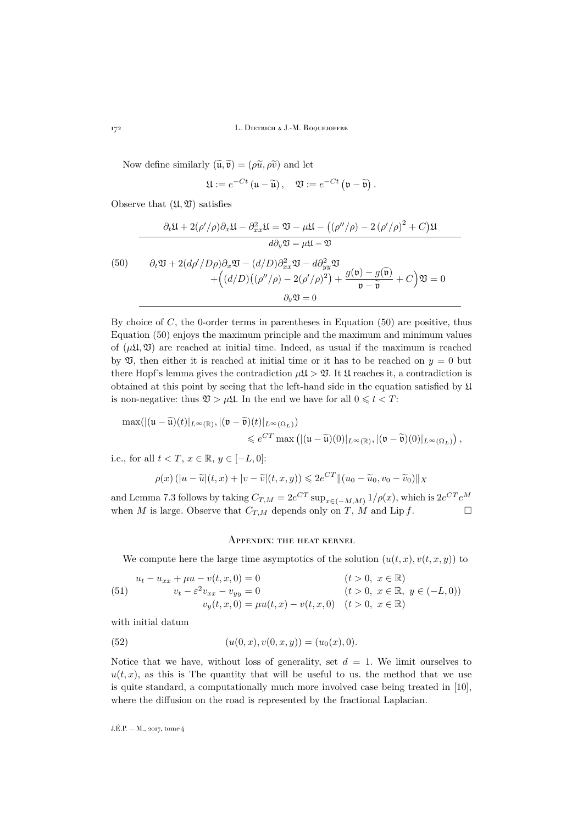Now define similarly  $(\widetilde{\mathfrak{u}}, \widetilde{\mathfrak{v}}) = (\rho \widetilde{u}, \rho \widetilde{v})$  and let

$$
\mathfrak{U} := e^{-Ct} \left( \mathfrak{u} - \widetilde{\mathfrak{u}} \right), \quad \mathfrak{V} := e^{-Ct} \left( \mathfrak{v} - \widetilde{\mathfrak{v}} \right).
$$

Observe that  $(\mathfrak{U}, \mathfrak{V})$  satisfies

<span id="page-32-2"></span>
$$
\frac{\partial_t \mathfrak{U} + 2(\rho'/\rho)\partial_x \mathfrak{U} - \partial_{xx}^2 \mathfrak{U} = \mathfrak{V} - \mu \mathfrak{U} - ((\rho''/\rho) - 2(\rho'/\rho)^2 + C)\mathfrak{U}}{d\partial_y \mathfrak{V} = \mu \mathfrak{U} - \mathfrak{V}}
$$
\n
$$
(50) \qquad \partial_t \mathfrak{V} + 2(d\rho'/D\rho)\partial_x \mathfrak{V} - (d/D)\partial_{xx}^2 \mathfrak{V} - d\partial_{yy}^2 \mathfrak{V} + ((d/D)((\rho''/\rho) - 2(\rho'/\rho)^2) + \frac{g(\mathfrak{v}) - g(\tilde{\mathfrak{v}})}{\mathfrak{v} - \tilde{\mathfrak{v}}} + C\mathfrak{V} = 0
$$
\n
$$
\partial_y \mathfrak{V} = 0
$$

By choice of  $C$ , the 0-order terms in parentheses in Equation [\(50\)](#page-32-2) are positive, thus Equation [\(50\)](#page-32-2) enjoys the maximum principle and the maximum and minimum values of  $(\mu\mathfrak{U}, \mathfrak{V})$  are reached at initial time. Indeed, as usual if the maximum is reached by  $\mathfrak{V}$ , then either it is reached at initial time or it has to be reached on  $y = 0$  but there Hopf's lemma gives the contradiction  $\mu\mathfrak{U} > \mathfrak{V}$ . It  $\mathfrak{U}$  reaches it, a contradiction is obtained at this point by seeing that the left-hand side in the equation satisfied by U is non-negative: thus  $\mathfrak{V} > \mu \mathfrak{U}.$  In the end we have for all  $0 \leqslant t < T:$ 

$$
\max(||(\mathfrak{u}-\widetilde{\mathfrak{u}})(t)|_{L^{\infty}(\mathbb{R})}, |(\mathfrak{v}-\widetilde{\mathfrak{v}})(t)|_{L^{\infty}(\Omega_L)})\n\leq e^{CT} \max\left(|(\mathfrak{u}-\widetilde{\mathfrak{u}})(0)|_{L^{\infty}(\mathbb{R})}, |(\mathfrak{v}-\widetilde{\mathfrak{v}})(0)|_{L^{\infty}(\Omega_L)}\right),
$$

i.e., for all  $t < T$ ,  $x \in \mathbb{R}$ ,  $y \in [-L, 0]$ :

$$
\rho(x) \left( |u - \widetilde{u}|(t, x) + |v - \widetilde{v}|(t, x, y) \right) \leq 2e^{CT} \|(u_0 - \widetilde{u}_0, v_0 - \widetilde{v}_0)\|_X
$$

and Lemma [7.3](#page-30-0) follows by taking  $C_{T,M} = 2e^{CT} \sup_{x \in (-M,M)} 1/\rho(x)$ , which is  $2e^{CT}e^M$ when M is large. Observe that  $C_{T,M}$  depends only on T, M and Lip f.

#### <span id="page-32-0"></span>Appendix: the heat kernel

We compute here the large time asymptotics of the solution  $(u(t, x), v(t, x, y))$  to

<span id="page-32-1"></span>(51) 
$$
u_t - u_{xx} + \mu u - v(t, x, 0) = 0 \n v_t - \varepsilon^2 v_{xx} - v_{yy} = 0 \n v_y(t, x, 0) = \mu u(t, x) - v(t, x, 0) \quad (t > 0, \ x \in \mathbb{R}, \ y \in (-L, 0)) \n (t > 0, \ x \in \mathbb{R})
$$

with initial datum

(52) 
$$
(u(0, x), v(0, x, y)) = (u_0(x), 0).
$$

Notice that we have, without loss of generality, set  $d = 1$ . We limit ourselves to  $u(t, x)$ , as this is The quantity that will be useful to us. the method that we use is quite standard, a computationally much more involved case being treated in [\[10\]](#page-35-25), where the diffusion on the road is represented by the fractional Laplacian.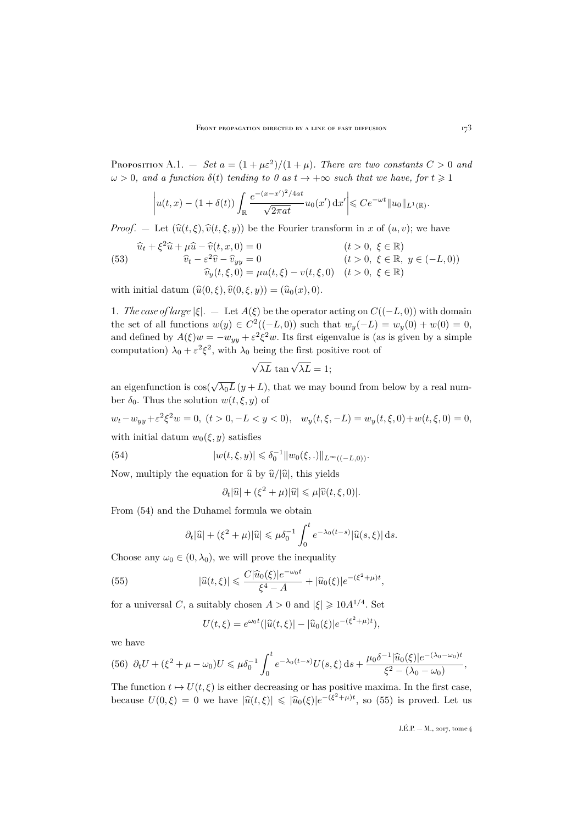PROPOSITION A.1.  $-$  *Set*  $a = (1 + \mu \varepsilon^2)/(1 + \mu)$ *. There are two constants*  $C > 0$  *and*  $\omega > 0$ , and a function  $\delta(t)$  *tending to 0 as*  $t \to +\infty$  *such that we have, for*  $t \ge 1$ 

$$
\left| u(t,x) - (1+\delta(t)) \int_{\mathbb{R}} \frac{e^{-(x-x')^2/4at}}{\sqrt{2\pi at}} u_0(x') dx' \right| \leq Ce^{-\omega t} \|u_0\|_{L^1(\mathbb{R})}.
$$

*Proof.* – Let  $(\hat{u}(t, \xi), \hat{v}(t, \xi, y))$  be the Fourier transform in x of  $(u, v)$ ; we have

<span id="page-33-3"></span>(53) 
$$
\hat{u}_t + \xi^2 \hat{u} + \mu \hat{u} - \hat{v}(t, x, 0) = 0 \n\hat{v}_t - \varepsilon^2 \hat{v} - \hat{v}_{yy} = 0 \n\hat{v}_y(t, \xi, 0) = \mu u(t, \xi) - v(t, \xi, 0) \quad (t > 0, \xi \in \mathbb{R}) \n(t > 0, \xi \in \mathbb{R}, y \in (-L, 0)) \n(t > 0, \xi \in \mathbb{R})
$$

with initial datum  $(\widehat{u}(0, \xi), \widehat{v}(0, \xi, y)) = (\widehat{u}_0(x), 0).$ 

1. *The case of large*  $|\xi|$ . — Let  $A(\xi)$  be the operator acting on  $C((-L, 0))$  with domain the set of all functions  $w(y) \in C^2((-L, 0))$  such that  $w_y(-L) = w_y(0) + w(0) = 0$ , and defined by  $A(\xi)w = -w_{yy} + \varepsilon^2 \xi^2 w$ . Its first eigenvalue is (as is given by a simple computation)  $\lambda_0 + \varepsilon^2 \xi^2$ , with  $\lambda_0$  being the first positive root of

$$
\sqrt{\lambda L} \tan \sqrt{\lambda L} = 1;
$$

an eigenfunction is  $cos(\sqrt{\lambda_0 L} (y + L))$ , that we may bound from below by a real number  $\delta_0$ . Thus the solution  $w(t, \xi, y)$  of

 $w_t - w_{yy} + \varepsilon^2 \xi^2 w = 0$ ,  $(t > 0, -L < y < 0)$ ,  $w_y(t, \xi, -L) = w_y(t, \xi, 0) + w(t, \xi, 0) = 0$ , with initial datum  $w_0(\xi, y)$  satisfies

(54) 
$$
|w(t,\xi,y)| \leq \delta_0^{-1} ||w_0(\xi,.)||_{L^{\infty}((-L,0))}.
$$

Now, multiply the equation for  $\hat{u}$  by  $\hat{u}/|\hat{u}|$ , this yields

<span id="page-33-0"></span>
$$
\partial_t |\widehat{u}| + (\xi^2 + \mu)|\widehat{u}| \leqslant \mu |\widehat{v}(t,\xi,0)|.
$$

From [\(54\)](#page-33-0) and the Duhamel formula we obtain

$$
\partial_t |\widehat{u}| + (\xi^2 + \mu)|\widehat{u}| \leqslant \mu \delta_0^{-1} \int_0^t e^{-\lambda_0 (t-s)} |\widehat{u}(s,\xi)| \, ds.
$$

Choose any  $\omega_0 \in (0, \lambda_0)$ , we will prove the inequality

(55) 
$$
|\widehat{u}(t,\xi)| \leqslant \frac{C|\widehat{u}_0(\xi)|e^{-\omega_0 t}}{\xi^4 - A} + |\widehat{u}_0(\xi)|e^{-(\xi^2 + \mu)t},
$$

for a universal C, a suitably chosen  $A > 0$  and  $|\xi| \geq 10A^{1/4}$ . Set

<span id="page-33-1"></span>
$$
U(t,\xi) = e^{\omega_0 t} (|\widehat{u}(t,\xi)| - |\widehat{u}_0(\xi)|e^{-(\xi^2 + \mu)t}),
$$

we have

<span id="page-33-2"></span>
$$
(56)\ \partial_t U + (\xi^2 + \mu - \omega_0)U \leqslant \mu \delta_0^{-1} \int_0^t e^{-\lambda_0 (t-s)} U(s,\xi) \, ds + \frac{\mu_0 \delta^{-1} |\widehat{u}_0(\xi)| e^{-(\lambda_0 - \omega_0)t}}{\xi^2 - (\lambda_0 - \omega_0)},
$$

The function  $t \mapsto U(t, \xi)$  is either decreasing or has positive maxima. In the first case, because  $U(0,\xi) = 0$  we have  $|\hat{u}(t,\xi)| \leq |\hat{u}_0(\xi)|e^{-(\xi^2 + \mu)t}$ , so [\(55\)](#page-33-1) is proved. Let us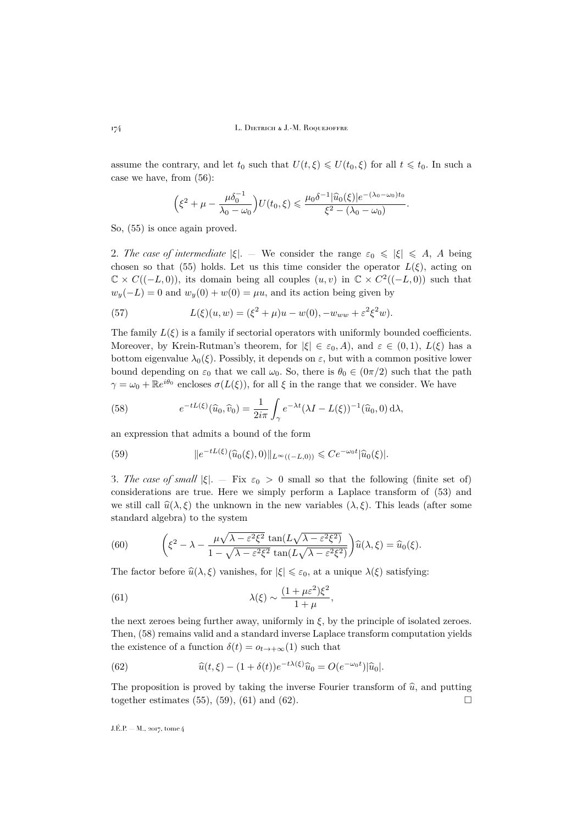assume the contrary, and let  $t_0$  such that  $U(t, \xi) \leq U(t_0, \xi)$  for all  $t \leq t_0$ . In such a case we have, from [\(56\)](#page-33-2):

$$
\left(\xi^2+\mu-\frac{\mu\delta_0^{-1}}{\lambda_0-\omega_0}\right)U(t_0,\xi)\leqslant \frac{\mu_0\delta^{-1}|\widehat{u}_0(\xi)|e^{-(\lambda_0-\omega_0)t_0}}{\xi^2-(\lambda_0-\omega_0)}.
$$

So, [\(55\)](#page-33-1) is once again proved.

2. *The case of intermediate*  $|\xi|$ . — We consider the range  $\varepsilon_0 \leq |\xi| \leq A$ , A being chosen so that [\(55\)](#page-33-1) holds. Let us this time consider the operator  $L(\xi)$ , acting on  $\mathbb{C} \times C((-L,0)),$  its domain being all couples  $(u, v)$  in  $\mathbb{C} \times C^2((-L,0))$  such that  $w_y(-L) = 0$  and  $w_y(0) + w(0) = \mu u$ , and its action being given by

(57) 
$$
L(\xi)(u, w) = (\xi^2 + \mu)u - w(0), -w_{ww} + \varepsilon^2 \xi^2 w).
$$

The family  $L(\xi)$  is a family if sectorial operators with uniformly bounded coefficients. Moreover, by Krein-Rutman's theorem, for  $|\xi| \in \varepsilon_0, A$ , and  $\varepsilon \in (0, 1), L(\xi)$  has a bottom eigenvalue  $\lambda_0(\xi)$ . Possibly, it depends on  $\varepsilon$ , but with a common positive lower bound depending on  $\varepsilon_0$  that we call  $\omega_0$ . So, there is  $\theta_0 \in (0\pi/2)$  such that the path  $\gamma = \omega_0 + \mathbb{R}e^{i\theta_0}$  encloses  $\sigma(L(\xi))$ , for all  $\xi$  in the range that we consider. We have

<span id="page-34-0"></span>(58) 
$$
e^{-tL(\xi)}(\widehat{u}_0,\widehat{v}_0)=\frac{1}{2i\pi}\int_{\gamma}e^{-\lambda t}(\lambda I-L(\xi))^{-1}(\widehat{u}_0,0)\,\mathrm{d}\lambda,
$$

an expression that admits a bound of the form

<span id="page-34-1"></span>(59) 
$$
||e^{-tL(\xi)}(\widehat{u}_0(\xi),0)||_{L^{\infty}((-L,0))} \leq Ce^{-\omega_0 t}|\widehat{u}_0(\xi)|.
$$

3. The case of small  $|\xi|$ . — Fix  $\varepsilon_0 > 0$  small so that the following (finite set of) considerations are true. Here we simply perform a Laplace transform of [\(53\)](#page-33-3) and we still call  $\hat{u}(\lambda,\xi)$  the unknown in the new variables  $(\lambda,\xi)$ . This leads (after some standard algebra) to the system

(60) 
$$
\left(\xi^2 - \lambda - \frac{\mu\sqrt{\lambda - \varepsilon^2\xi^2} \tan(L\sqrt{\lambda - \varepsilon^2\xi^2})}{1 - \sqrt{\lambda - \varepsilon^2\xi^2} \tan(L\sqrt{\lambda - \varepsilon^2\xi^2})}\right)\widehat{u}(\lambda,\xi) = \widehat{u}_0(\xi).
$$

The factor before  $\hat{u}(\lambda, \xi)$  vanishes, for  $|\xi| \leq \varepsilon_0$ , at a unique  $\lambda(\xi)$  satisfying:

<span id="page-34-2"></span>(61) 
$$
\lambda(\xi) \sim \frac{(1+\mu\varepsilon^2)\xi^2}{1+\mu},
$$

the next zeroes being further away, uniformly in  $\xi$ , by the principle of isolated zeroes. Then, [\(58\)](#page-34-0) remains valid and a standard inverse Laplace transform computation yields the existence of a function  $\delta(t) = o_{t \to +\infty}(1)$  such that

<span id="page-34-3"></span>(62) 
$$
\widehat{u}(t,\xi) - (1+\delta(t))e^{-t\lambda(\xi)}\widehat{u}_0 = O(e^{-\omega_0 t})|\widehat{u}_0|.
$$

The proposition is proved by taking the inverse Fourier transform of  $\hat{u}$ , and putting together estimates (55), (59), (61) and (62). together estimates [\(55\)](#page-33-1), [\(59\)](#page-34-1), [\(61\)](#page-34-2) and [\(62\)](#page-34-3).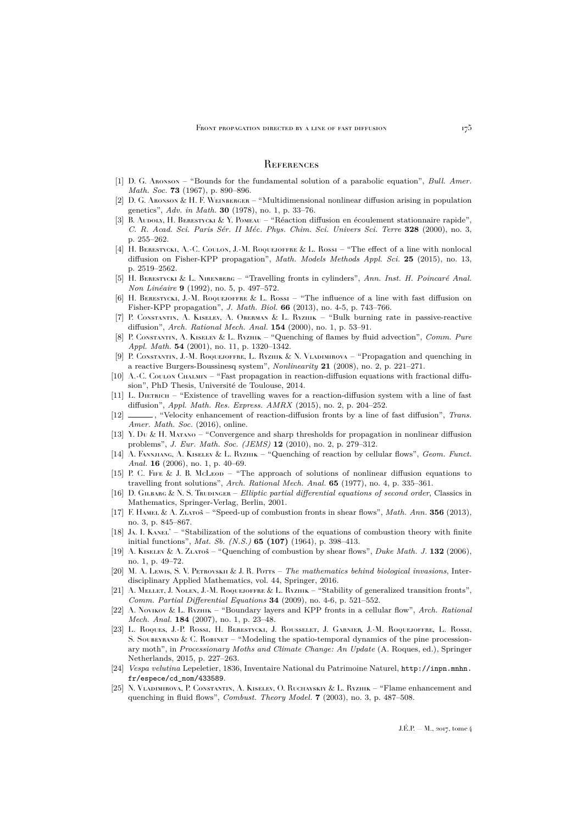### <span id="page-35-0"></span>**REFERENCES**

- <span id="page-35-24"></span>[1] D. G. Aronson – "Bounds for the fundamental solution of a parabolic equation", *Bull. Amer. Math. Soc.* **73** (1967), p. 890–896.
- <span id="page-35-7"></span>[2] D. G. ARONSON & H. F. WEINBERGER – "Multidimensional nonlinear diffusion arising in population genetics", *Adv. in Math.* **30** (1978), no. 1, p. 33–76.
- <span id="page-35-13"></span>[3] B. Audoly, H. BERESTYCKI & Y. POMEAU – "Réaction diffusion en écoulement stationnaire rapide", *C. R. Acad. Sci. Paris Sér. II Méc. Phys. Chim. Sci. Univers Sci. Terre* **328** (2000), no. 3, p. 255–262.
- <span id="page-35-6"></span>[4] H. BERESTYCKI, A.-C. COULON, J.-M. ROQUEJOFFRE & L. ROSSI – "The effect of a line with nonlocal diffusion on Fisher-KPP propagation", *Math. Models Methods Appl. Sci.* **25** (2015), no. 13, p. 2519–2562.
- <span id="page-35-22"></span>[5] H. Berestycki & L. Nirenberg – "Travelling fronts in cylinders", *Ann. Inst. H. Poincaré Anal. Non Linéaire* **9** (1992), no. 5, p. 497–572.
- <span id="page-35-3"></span>[6] H. BERESTYCKI, J.-M. ROQUEJOFFRE & L. Rossi – "The influence of a line with fast diffusion on Fisher-KPP propagation", *J. Math. Biol.* **66** (2013), no. 4-5, p. 743–766.
- <span id="page-35-14"></span>[7] P. Constantin, A. Kiselev, A. Oberman & L. Ryzhik – "Bulk burning rate in passive-reactive diffusion", *Arch. Rational Mech. Anal.* **154** (2000), no. 1, p. 53–91.
- <span id="page-35-16"></span>[8] P. Constantin, A. Kiselev & L. Ryzhik – "Quenching of flames by fluid advection", *Comm. Pure Appl. Math.* **54** (2001), no. 11, p. 1320–1342.
- <span id="page-35-21"></span>[9] P. Constantin, J.-M. Roquejoffre, L. Ryzhik & N. Vladimirova – "Propagation and quenching in a reactive Burgers-Boussinesq system", *Nonlinearity* **21** (2008), no. 2, p. 221–271.
- <span id="page-35-25"></span>[10] A.-C. Coulon Chalmin – "Fast propagation in reaction-diffusion equations with fractional diffusion", PhD Thesis, Université de Toulouse, 2014.
- <span id="page-35-1"></span>[11] L. DIETRICH – "Existence of travelling waves for a reaction-diffusion system with a line of fast diffusion", *Appl. Math. Res. Express. AMRX* (2015), no. 2, p. 204–252.
- <span id="page-35-2"></span>[12] , "Velocity enhancement of reaction-diffusion fronts by a line of fast diffusion", *Trans. Amer. Math. Soc.* (2016), online.
- <span id="page-35-12"></span>[13] Y. Du & H. Matano – "Convergence and sharp thresholds for propagation in nonlinear diffusion problems", *J. Eur. Math. Soc. (JEMS)* **12** (2010), no. 2, p. 279–312.
- <span id="page-35-19"></span>[14] A. Fannjiang, A. Kiselev & L. Ryzhik – "Quenching of reaction by cellular flows", *Geom. Funct. Anal.* **16** (2006), no. 1, p. 40–69.
- <span id="page-35-9"></span>[15] P. C. FIFE & J. B. McLeon – "The approach of solutions of nonlinear diffusion equations to travelling front solutions", *Arch. Rational Mech. Anal.* **65** (1977), no. 4, p. 335–361.
- <span id="page-35-23"></span>[16] D. Gilbarg & N. S. Trudinger – *Elliptic partial differential equations of second order*, Classics in Mathematics, Springer-Verlag, Berlin, 2001.
- <span id="page-35-15"></span>[17] F. Hamel & A. Zlatoš – "Speed-up of combustion fronts in shear flows", *Math. Ann.* **356** (2013), no. 3, p. 845–867.
- <span id="page-35-11"></span>[18] J<sub>A</sub>. I. KANEL' – "Stabilization of the solutions of the equations of combustion theory with finite initial functions", *Mat. Sb. (N.S.)* **65 (107)** (1964), p. 398–413.
- <span id="page-35-17"></span>[19] A. Kiselev & A. Zlatoš – "Quenching of combustion by shear flows", *Duke Math. J.* **132** (2006), no. 1, p. 49–72.
- <span id="page-35-8"></span>[20] M. A. Lewis, S. V. Petrovskii & J. R. Potts – *The mathematics behind biological invasions*, Interdisciplinary Applied Mathematics, vol. 44, Springer, 2016.
- <span id="page-35-10"></span>[21] A. Mellet, J. Nolen, J.-M. Roquejoffre & L. Ryzhik – "Stability of generalized transition fronts", *Comm. Partial Differential Equations* **34** (2009), no. 4-6, p. 521–552.
- <span id="page-35-18"></span>[22] A. Novikov & L. Ryzhik – "Boundary layers and KPP fronts in a cellular flow", *Arch. Rational Mech. Anal.* **184** (2007), no. 1, p. 23–48.
- <span id="page-35-4"></span>[23] L. Roques, J.-P. Rossi, H. Berestycki, J. Rousselet, J. Garnier, J.-M. Roquejoffre, L. Rossi, S. SOUBEYRAND & C. ROBINET – "Modeling the spatio-temporal dynamics of the pine processionary moth", in *Processionary Moths and Climate Change: An Update* (A. Roques, ed.), Springer Netherlands, 2015, p. 227–263.
- <span id="page-35-5"></span>[24] *Vespa velutina* Lepeletier, 1836, Inventaire National du Patrimoine Naturel, [http://inpn.mnhn.](http://inpn.mnhn.fr/espece/cd_nom/433589) [fr/espece/cd\\_nom/433589](http://inpn.mnhn.fr/espece/cd_nom/433589).
- <span id="page-35-20"></span>[25] N. VLADIMIROVA, P. CONSTANTIN, A. KISELEV, O. RUCHAYSKIY & L. RYZHIK – "Flame enhancement and quenching in fluid flows", *Combust. Theory Model.* **7** (2003), no. 3, p. 487–508.